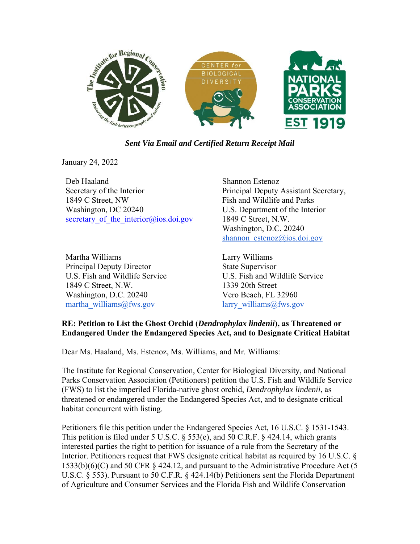

*Sent Via Email and Certified Return Receipt Mail* 

January 24, 2022

Deb Haaland Secretary of the Interior 1849 C Street, NW Washington, DC 20240 secretary of the interior $@$ ios.doi.gov

Martha Williams Principal Deputy Director U.S. Fish and Wildlife Service 1849 C Street, N.W. Washington, D.C. 20240 martha williams@fws.gov

Shannon Estenoz Principal Deputy Assistant Secretary, Fish and Wildlife and Parks U.S. Department of the Interior 1849 C Street, N.W. Washington, D.C. 20240 shannon estenoz@ios.doi.gov

Larry Williams State Supervisor U.S. Fish and Wildlife Service 1339 20th Street Vero Beach, FL 32960 larry williams@fws.gov

# **RE: Petition to List the Ghost Orchid (***Dendrophylax lindenii***), as Threatened or Endangered Under the Endangered Species Act, and to Designate Critical Habitat**

Dear Ms. Haaland, Ms. Estenoz, Ms. Williams, and Mr. Williams:

The Institute for Regional Conservation, Center for Biological Diversity, and National Parks Conservation Association (Petitioners) petition the U.S. Fish and Wildlife Service (FWS) to list the imperiled Florida-native ghost orchid, *Dendrophylax lindenii*, as threatened or endangered under the Endangered Species Act, and to designate critical habitat concurrent with listing.

Petitioners file this petition under the Endangered Species Act, 16 U.S.C. § 1531-1543. This petition is filed under 5 U.S.C. § 553(e), and 50 C.R.F. § 424.14, which grants interested parties the right to petition for issuance of a rule from the Secretary of the Interior. Petitioners request that FWS designate critical habitat as required by 16 U.S.C. § 1533(b)(6)(C) and 50 CFR § 424.12, and pursuant to the Administrative Procedure Act (5 U.S.C. § 553). Pursuant to 50 C.F.R. § 424.14(b) Petitioners sent the Florida Department of Agriculture and Consumer Services and the Florida Fish and Wildlife Conservation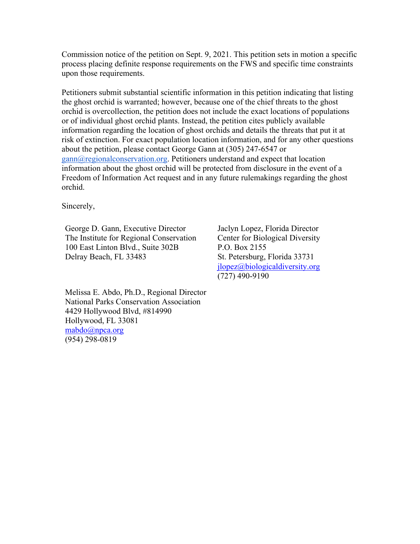Commission notice of the petition on Sept. 9, 2021. This petition sets in motion a specific process placing definite response requirements on the FWS and specific time constraints upon those requirements.

Petitioners submit substantial scientific information in this petition indicating that listing the ghost orchid is warranted; however, because one of the chief threats to the ghost orchid is overcollection, the petition does not include the exact locations of populations or of individual ghost orchid plants. Instead, the petition cites publicly available information regarding the location of ghost orchids and details the threats that put it at risk of extinction. For exact population location information, and for any other questions about the petition, please contact George Gann at (305) 247-6547 or gann@regionalconservation.org. Petitioners understand and expect that location information about the ghost orchid will be protected from disclosure in the event of a Freedom of Information Act request and in any future rulemakings regarding the ghost orchid.

Sincerely,

George D. Gann, Executive Director The Institute for Regional Conservation 100 East Linton Blvd., Suite 302B Delray Beach, FL 33483

Jaclyn Lopez, Florida Director Center for Biological Diversity P.O. Box 2155 St. Petersburg, Florida 33731 jlopez@biologicaldiversity.org (727) 490-9190

Melissa E. Abdo, Ph.D., Regional Director National Parks Conservation Association 4429 Hollywood Blvd, #814990 Hollywood, FL 33081 mabdo@npca.org (954) 298-0819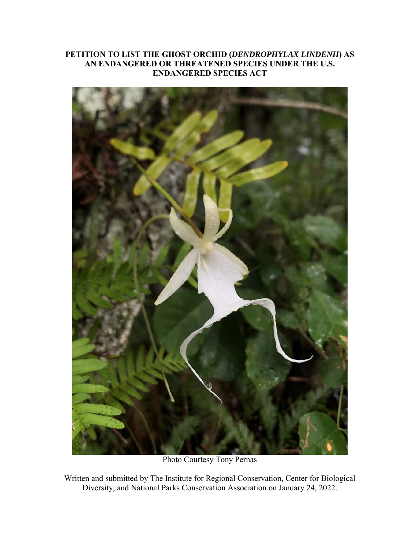# **PETITION TO LIST THE GHOST ORCHID (***DENDROPHYLAX LINDENII***) AS AN ENDANGERED OR THREATENED SPECIES UNDER THE U.S. ENDANGERED SPECIES ACT**



Photo Courtesy Tony Pernas

Written and submitted by The Institute for Regional Conservation, Center for Biological Diversity, and National Parks Conservation Association on January 24, 2022.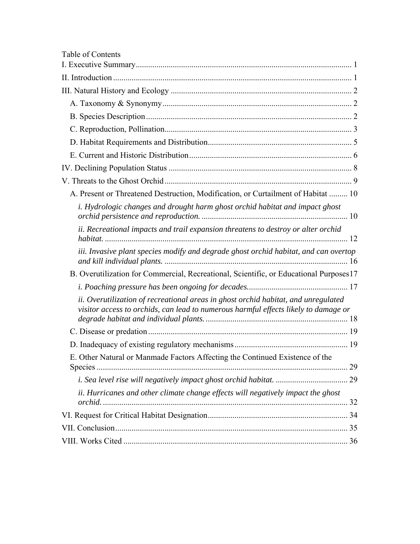| Table of Contents                                                                                                                                                         |
|---------------------------------------------------------------------------------------------------------------------------------------------------------------------------|
|                                                                                                                                                                           |
|                                                                                                                                                                           |
|                                                                                                                                                                           |
|                                                                                                                                                                           |
|                                                                                                                                                                           |
|                                                                                                                                                                           |
|                                                                                                                                                                           |
|                                                                                                                                                                           |
|                                                                                                                                                                           |
|                                                                                                                                                                           |
| A. Present or Threatened Destruction, Modification, or Curtailment of Habitat  10                                                                                         |
| i. Hydrologic changes and drought harm ghost orchid habitat and impact ghost                                                                                              |
| ii. Recreational impacts and trail expansion threatens to destroy or alter orchid                                                                                         |
| iii. Invasive plant species modify and degrade ghost orchid habitat, and can overtop                                                                                      |
| B. Overutilization for Commercial, Recreational, Scientific, or Educational Purposes17                                                                                    |
|                                                                                                                                                                           |
| ii. Overutilization of recreational areas in ghost orchid habitat, and unregulated<br>visitor access to orchids, can lead to numerous harmful effects likely to damage or |
|                                                                                                                                                                           |
|                                                                                                                                                                           |
| E. Other Natural or Manmade Factors Affecting the Continued Existence of the                                                                                              |
|                                                                                                                                                                           |
| ii. Hurricanes and other climate change effects will negatively impact the ghost                                                                                          |
|                                                                                                                                                                           |
|                                                                                                                                                                           |
|                                                                                                                                                                           |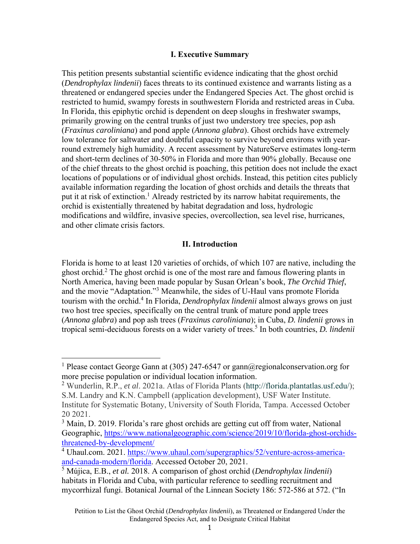#### **I. Executive Summary**

This petition presents substantial scientific evidence indicating that the ghost orchid (*Dendrophylax lindenii*) faces threats to its continued existence and warrants listing as a threatened or endangered species under the Endangered Species Act. The ghost orchid is restricted to humid, swampy forests in southwestern Florida and restricted areas in Cuba. In Florida, this epiphytic orchid is dependent on deep sloughs in freshwater swamps, primarily growing on the central trunks of just two understory tree species, pop ash (*Fraxinus caroliniana*) and pond apple (*Annona glabra*). Ghost orchids have extremely low tolerance for saltwater and doubtful capacity to survive beyond environs with yearround extremely high humidity. A recent assessment by NatureServe estimates long-term and short-term declines of 30-50% in Florida and more than 90% globally. Because one of the chief threats to the ghost orchid is poaching, this petition does not include the exact locations of populations or of individual ghost orchids. Instead, this petition cites publicly available information regarding the location of ghost orchids and details the threats that put it at risk of extinction.<sup>1</sup> Already restricted by its narrow habitat requirements, the orchid is existentially threatened by habitat degradation and loss, hydrologic modifications and wildfire, invasive species, overcollection, sea level rise, hurricanes, and other climate crisis factors.

#### **II. Introduction**

Florida is home to at least 120 varieties of orchids, of which 107 are native, including the ghost orchid.<sup>2</sup> The ghost orchid is one of the most rare and famous flowering plants in North America, having been made popular by Susan Orlean's book, *The Orchid Thief*, and the movie "Adaptation."<sup>3</sup> Meanwhile, the sides of U-Haul vans promote Florida tourism with the orchid.4 In Florida, *Dendrophylax lindenii* almost always grows on just two host tree species, specifically on the central trunk of mature pond apple trees (*Annona glabra*) and pop ash trees (*Fraxinus caroliniana*); in Cuba, *D. lindenii* grows in tropical semi-deciduous forests on a wider variety of trees.5 In both countries, *D. lindenii*

<sup>&</sup>lt;sup>1</sup> Please contact George Gann at (305) 247-6547 or gann@regionalconservation.org for more precise population or individual location information.

<sup>2</sup> Wunderlin, R.P., *et al*. 2021a. Atlas of Florida Plants (http://florida.plantatlas.usf.edu/); S.M. Landry and K.N. Campbell (application development), USF Water Institute. Institute for Systematic Botany, University of South Florida, Tampa. Accessed October 20 2021.

<sup>&</sup>lt;sup>3</sup> Main, D. 2019. Florida's rare ghost orchids are getting cut off from water, National Geographic, https://www.nationalgeographic.com/science/2019/10/florida-ghost-orchidsthreatened-by-development/

<sup>&</sup>lt;sup>4</sup> Uhaul.com. 2021. https://www.uhaul.com/supergraphics/52/venture-across-americaand-canada-modern/florida. Accessed October 20, 2021.

<sup>5</sup> Mújica, E.B., *et al.* 2018. A comparison of ghost orchid (*Dendrophylax lindenii*) habitats in Florida and Cuba, with particular reference to seedling recruitment and mycorrhizal fungi. Botanical Journal of the Linnean Society 186: 572-586 at 572. ("In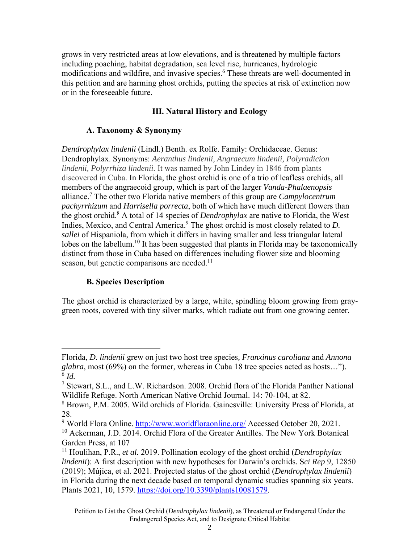grows in very restricted areas at low elevations, and is threatened by multiple factors including poaching, habitat degradation, sea level rise, hurricanes, hydrologic modifications and wildfire, and invasive species.<sup>6</sup> These threats are well-documented in this petition and are harming ghost orchids, putting the species at risk of extinction now or in the foreseeable future.

# **III. Natural History and Ecology**

# **A. Taxonomy & Synonymy**

*Dendrophylax lindenii* (Lindl.) Benth. ex Rolfe. Family: Orchidaceae. Genus: Dendrophylax. Synonyms: *Aeranthus lindenii, Angraecum lindenii, Polyradicion lindenii, Polyrrhiza lindenii.* It was named by John Lindey in 1846 from plants discovered in Cuba. In Florida, the ghost orchid is one of a trio of leafless orchids, all members of the angraecoid group, which is part of the larger *Vanda-Phalaenopsis*  alliance.7 The other two Florida native members of this group are *Campylocentrum pachyrrhizum* and *Harrisella porrecta*, both of which have much different flowers than the ghost orchid.8 A total of 14 species of *Dendrophylax* are native to Florida, the West Indies, Mexico, and Central America.<sup>9</sup> The ghost orchid is most closely related to *D*. *sallei* of Hispaniola, from which it differs in having smaller and less triangular lateral lobes on the labellum.<sup>10</sup> It has been suggested that plants in Florida may be taxonomically distinct from those in Cuba based on differences including flower size and blooming season, but genetic comparisons are needed.<sup>11</sup>

# **B. Species Description**

The ghost orchid is characterized by a large, white, spindling bloom growing from graygreen roots, covered with tiny silver marks, which radiate out from one growing center.

Florida, *D. lindenii* grew on just two host tree species*, Franxinus caroliana* and *Annona glabra*, most (69%) on the former, whereas in Cuba 18 tree species acted as hosts…").  $^{6}$  *Id.*<br><sup>7</sup> Ste

Stewart, S.L., and L.W. Richardson. 2008. Orchid flora of the Florida Panther National Wildlife Refuge. North American Native Orchid Journal. 14: 70-104, at 82.

<sup>8</sup> Brown, P.M. 2005. Wild orchids of Florida. Gainesville: University Press of Florida, at 28.

<sup>&</sup>lt;sup>9</sup> World Flora Online. http://www.worldfloraonline.org/ Accessed October 20, 2021. <sup>10</sup> Ackerman, J.D. 2014. Orchid Flora of the Greater Antilles. The New York Botanical Garden Press, at 107

<sup>11</sup> Houlihan, P.R., *et al.* 2019. Pollination ecology of the ghost orchid (*Dendrophylax lindenii*): A first description with new hypotheses for Darwin's orchids. S*ci Rep* 9, 12850 (2019); Mújica, et al. 2021. Projected status of the ghost orchid (*Dendrophylax lindenii*) in Florida during the next decade based on temporal dynamic studies spanning six years. Plants 2021, 10, 1579. https://doi.org/10.3390/plants10081579.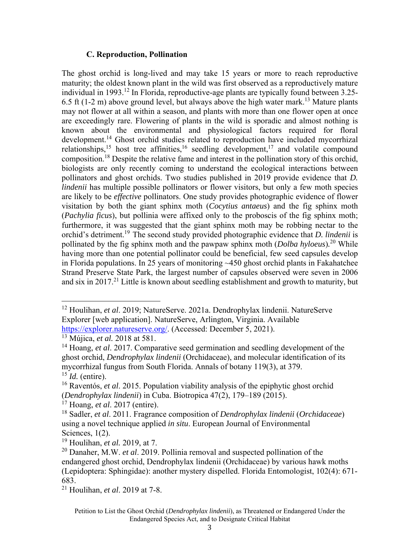#### **C. Reproduction, Pollination**

The ghost orchid is long-lived and may take 15 years or more to reach reproductive maturity; the oldest known plant in the wild was first observed as a reproductively mature individual in 1993.<sup>12</sup> In Florida, reproductive-age plants are typically found between  $3.25$ -6.5 ft (1-2 m) above ground level, but always above the high water mark.<sup>13</sup> Mature plants may not flower at all within a season, and plants with more than one flower open at once are exceedingly rare. Flowering of plants in the wild is sporadic and almost nothing is known about the environmental and physiological factors required for floral development.<sup>14</sup> Ghost orchid studies related to reproduction have included mycorrhizal relationships,<sup>15</sup> host tree affinities,<sup>16</sup> seedling development,<sup>17</sup> and volatile compound composition.18 Despite the relative fame and interest in the pollination story of this orchid, biologists are only recently coming to understand the ecological interactions between pollinators and ghost orchids. Two studies published in 2019 provide evidence that *D. lindenii* has multiple possible pollinators or flower visitors, but only a few moth species are likely to be *effective* pollinators. One study provides photographic evidence of flower visitation by both the giant sphinx moth (*Cocytius antaeus*) and the fig sphinx moth (*Pachylia ficus*), but pollinia were affixed only to the proboscis of the fig sphinx moth; furthermore, it was suggested that the giant sphinx moth may be robbing nectar to the orchid's detriment.19 The second study provided photographic evidence that *D. lindenii* is pollinated by the fig sphinx moth and the pawpaw sphinx moth (*Dolba hyloeus*)*.* 20 While having more than one potential pollinator could be beneficial, few seed capsules develop in Florida populations. In 25 years of monitoring ~450 ghost orchid plants in Fakahatchee Strand Preserve State Park, the largest number of capsules observed were seven in 2006 and six in 2017.<sup>21</sup> Little is known about seedling establishment and growth to maturity, but

<sup>12</sup> Houlihan, *et al*. 2019; NatureServe. 2021a. Dendrophylax lindenii. NatureServe Explorer [web application]. NatureServe, Arlington, Virginia. Available https://explorer.natureserve.org/. (Accessed: December 5, 2021).

<sup>13</sup> Mújica, *et al.* 2018 at 581.

<sup>14</sup> Hoang, *et al*. 2017. Comparative seed germination and seedling development of the ghost orchid, *Dendrophylax lindenii* (Orchidaceae), and molecular identification of its mycorrhizal fungus from South Florida. Annals of botany 119(3), at 379. <sup>15</sup> *Id.* (entire).

<sup>16</sup> Raventós, *et al*. 2015. Population viability analysis of the epiphytic ghost orchid (*Dendrophylax lindenii*) in Cuba. Biotropica 47(2), 179–189 (2015).

<sup>17</sup> Hoang, *et al*. 2017 (entire).

<sup>18</sup> Sadler, *et al*. 2011. Fragrance composition of *Dendrophylax lindenii* (*Orchidaceae*) using a novel technique applied *in situ*. European Journal of Environmental Sciences, 1(2).

<sup>19</sup> Houlihan, *et al.* 2019, at 7.

<sup>20</sup> Danaher, M.W. *et al*. 2019. Pollinia removal and suspected pollination of the endangered ghost orchid, Dendrophylax lindenii (Orchidaceae) by various hawk moths (Lepidoptera: Sphingidae): another mystery dispelled. Florida Entomologist, 102(4): 671- 683.

<sup>21</sup> Houlihan, *et al*. 2019 at 7-8.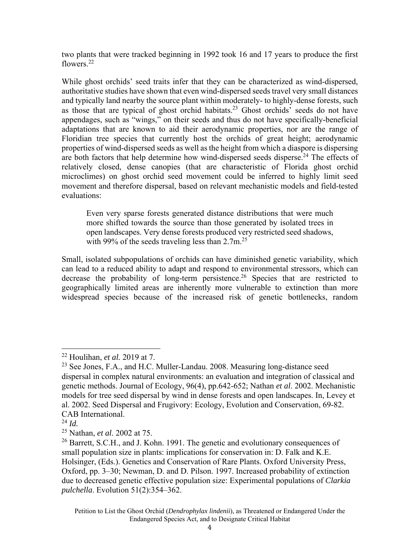two plants that were tracked beginning in 1992 took 16 and 17 years to produce the first flowers<sup>22</sup>

While ghost orchids' seed traits infer that they can be characterized as wind-dispersed, authoritative studies have shown that even wind-dispersed seeds travel very small distances and typically land nearby the source plant within moderately- to highly-dense forests, such as those that are typical of ghost orchid habitats.<sup>23</sup> Ghost orchids' seeds do not have appendages, such as "wings," on their seeds and thus do not have specifically-beneficial adaptations that are known to aid their aerodynamic properties, nor are the range of Floridian tree species that currently host the orchids of great height; aerodynamic properties of wind-dispersed seeds as well as the height from which a diaspore is dispersing are both factors that help determine how wind-dispersed seeds disperse.<sup>24</sup> The effects of relatively closed, dense canopies (that are characteristic of Florida ghost orchid microclimes) on ghost orchid seed movement could be inferred to highly limit seed movement and therefore dispersal, based on relevant mechanistic models and field-tested evaluations:

Even very sparse forests generated distance distributions that were much more shifted towards the source than those generated by isolated trees in open landscapes. Very dense forests produced very restricted seed shadows, with 99% of the seeds traveling less than  $2.7$ m.<sup>25</sup>

Small, isolated subpopulations of orchids can have diminished genetic variability, which can lead to a reduced ability to adapt and respond to environmental stressors, which can decrease the probability of long-term persistence.<sup>26</sup> Species that are restricted to geographically limited areas are inherently more vulnerable to extinction than more widespread species because of the increased risk of genetic bottlenecks, random

<sup>22</sup> Houlihan, *et al.* 2019 at 7.

 $23$  See Jones, F.A., and H.C. Muller-Landau. 2008. Measuring long-distance seed dispersal in complex natural environments: an evaluation and integration of classical and genetic methods. Journal of Ecology, 96(4), pp.642-652; Nathan *et al*. 2002. Mechanistic models for tree seed dispersal by wind in dense forests and open landscapes. In, Levey et al. 2002. Seed Dispersal and Frugivory: Ecology, Evolution and Conservation, 69-82. CAB International.

 $^{24}$  *Id.* 

<sup>25</sup> Nathan, *et al*. 2002 at 75.

<sup>&</sup>lt;sup>26</sup> Barrett, S.C.H., and J. Kohn. 1991. The genetic and evolutionary consequences of small population size in plants: implications for conservation in: D. Falk and K.E. Holsinger, (Eds.). Genetics and Conservation of Rare Plants. Oxford University Press, Oxford, pp. 3–30; Newman, D. and D. Pilson. 1997. Increased probability of extinction due to decreased genetic effective population size: Experimental populations of *Clarkia pulchella*. Evolution 51(2):354–362.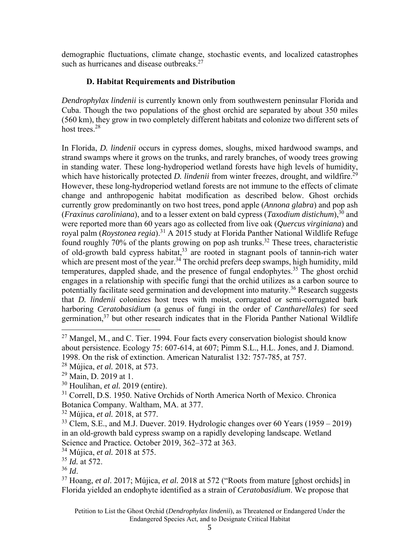demographic fluctuations, climate change, stochastic events, and localized catastrophes such as hurricanes and disease outbreaks. $27$ 

# **D. Habitat Requirements and Distribution**

*Dendrophylax lindenii* is currently known only from southwestern peninsular Florida and Cuba. Though the two populations of the ghost orchid are separated by about 350 miles (560 km), they grow in two completely different habitats and colonize two different sets of host trees.<sup>28</sup>

In Florida, *D. lindenii* occurs in cypress domes, sloughs, mixed hardwood swamps, and strand swamps where it grows on the trunks, and rarely branches, of woody trees growing in standing water. These long-hydroperiod wetland forests have high levels of humidity, which have historically protected *D. lindenii* from winter freezes, drought, and wildfire.<sup>29</sup> However, these long-hydroperiod wetland forests are not immune to the effects of climate change and anthropogenic habitat modification as described below. Ghost orchids currently grow predominantly on two host trees, pond apple (*Annona glabra*) and pop ash (*Fraxinus caroliniana*), and to a lesser extent on bald cypress (*Taxodium distichum*),30 and were reported more than 60 years ago as collected from live oak (*Quercus virginiana*) and royal palm (*Roystonea regia*).<sup>31</sup> A 2015 study at Florida Panther National Wildlife Refuge found roughly 70% of the plants growing on pop ash trunks.<sup>32</sup> These trees, characteristic of old-growth bald cypress habitat,  $33$  are rooted in stagnant pools of tannin-rich water which are present most of the year.<sup>34</sup> The orchid prefers deep swamps, high humidity, mild temperatures, dappled shade, and the presence of fungal endophytes.<sup>35</sup> The ghost orchid engages in a relationship with specific fungi that the orchid utilizes as a carbon source to potentially facilitate seed germination and development into maturity.<sup>36</sup> Research suggests that *D. lindenii* colonizes host trees with moist, corrugated or semi-corrugated bark harboring *Ceratobasidium* (a genus of fungi in the order of *Cantharellales*) for seed germination,  $37$  but other research indicates that in the Florida Panther National Wildlife

32 Mújica, *et al.* 2018, at 577.

 $27$  Mangel, M., and C. Tier. 1994. Four facts every conservation biologist should know about persistence. Ecology 75: 607-614, at 607; Pimm S.L., H.L. Jones, and J. Diamond. 1998. On the risk of extinction. American Naturalist 132: 757-785, at 757.

<sup>28</sup> Mújica, *et al.* 2018, at 573.

<sup>&</sup>lt;sup>29</sup> Main, D. 2019 at 1.

<sup>30</sup> Houlihan, *et al.* 2019 (entire).

<sup>&</sup>lt;sup>31</sup> Correll, D.S. 1950. Native Orchids of North America North of Mexico. Chronica Botanica Company. Waltham, MA. at 377.

 $33$  Clem, S.E., and M.J. Duever. 2019. Hydrologic changes over 60 Years (1959 – 2019) in an old-growth bald cypress swamp on a rapidly developing landscape. Wetland Science and Practice*.* October 2019, 362–372 at 363. 34 Mújica, *et al.* 2018 at 575.

 $^{35}$  *Id.* at 572.<br> $^{36}$  *Id.* 

<sup>&</sup>lt;sup>37</sup> Hoang, *et al.* 2017; Mújica, *et al.* 2018 at 572 ("Roots from mature [ghost orchids] in Florida yielded an endophyte identified as a strain of *Ceratobasidium*. We propose that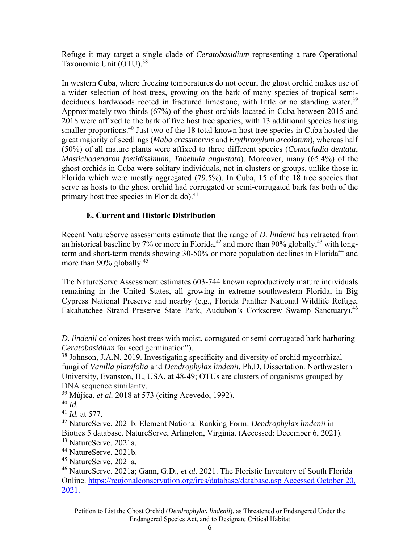Refuge it may target a single clade of *Ceratobasidium* representing a rare Operational Taxonomic Unit (OTU).38

In western Cuba, where freezing temperatures do not occur, the ghost orchid makes use of a wider selection of host trees, growing on the bark of many species of tropical semideciduous hardwoods rooted in fractured limestone, with little or no standing water.<sup>39</sup> Approximately two-thirds (67%) of the ghost orchids located in Cuba between 2015 and 2018 were affixed to the bark of five host tree species, with 13 additional species hosting smaller proportions.<sup>40</sup> Just two of the 18 total known host tree species in Cuba hosted the great majority of seedlings (*Maba crassinervis* and *Erythroxylum areolatum*), whereas half (50%) of all mature plants were affixed to three different species (*Comocladia dentata*, *Mastichodendron foetidissimum*, *Tabebuia angustata*). Moreover, many (65.4%) of the ghost orchids in Cuba were solitary individuals, not in clusters or groups, unlike those in Florida which were mostly aggregated (79.5%). In Cuba, 15 of the 18 tree species that serve as hosts to the ghost orchid had corrugated or semi-corrugated bark (as both of the primary host tree species in Florida do).<sup>41</sup>

# **E. Current and Historic Distribution**

Recent NatureServe assessments estimate that the range of *D. lindenii* has retracted from an historical baseline by 7% or more in Florida,  $42$  and more than 90% globally,  $43$  with longterm and short-term trends showing  $30-50\%$  or more population declines in Florida<sup>44</sup> and more than 90% globally.<sup>45</sup>

The NatureServe Assessment estimates 603-744 known reproductively mature individuals remaining in the United States, all growing in extreme southwestern Florida, in Big Cypress National Preserve and nearby (e.g., Florida Panther National Wildlife Refuge, Fakahatchee Strand Preserve State Park, Audubon's Corkscrew Swamp Sanctuary).<sup>46</sup>

*D. lindenii* colonizes host trees with moist, corrugated or semi-corrugated bark harboring *Ceratobasidium* for seed germination").

<sup>&</sup>lt;sup>38</sup> Johnson, J.A.N. 2019. Investigating specificity and diversity of orchid mycorrhizal fungi of *Vanilla planifolia* and *Dendrophylax lindenii*. Ph.D. Dissertation. Northwestern University, Evanston, IL, USA, at 48-49; OTUs are clusters of organisms grouped by DNA sequence similarity.

<sup>39</sup> Mújica, *et al.* 2018 at 573 (citing Acevedo, 1992).

<sup>40</sup> *Id.* 

<sup>41</sup> *Id.* at 577.

<sup>42</sup> NatureServe. 2021b. Element National Ranking Form: *Dendrophylax lindenii* in Biotics 5 database. NatureServe, Arlington, Virginia. (Accessed: December 6, 2021).

<sup>43</sup> NatureServe. 2021a.

<sup>44</sup> NatureServe. 2021b.

<sup>45</sup> NatureServe. 2021a.

<sup>46</sup> NatureServe. 2021a; Gann, G.D., *et al*. 2021. The Floristic Inventory of South Florida Online. https://regionalconservation.org/ircs/database/database.asp Accessed October 20, 2021.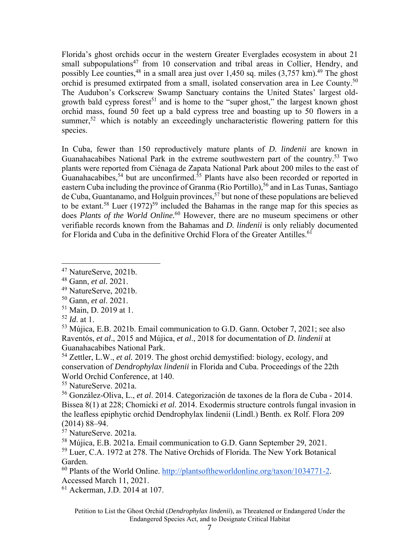Florida's ghost orchids occur in the western Greater Everglades ecosystem in about 21 small subpopulations<sup>47</sup> from 10 conservation and tribal areas in Collier, Hendry, and possibly Lee counties,  $48$  in a small area just over 1,450 sq. miles  $(3,757 \text{ km})$ .  $49$  The ghost orchid is presumed extirpated from a small, isolated conservation area in Lee County.<sup>50</sup> The Audubon's Corkscrew Swamp Sanctuary contains the United States' largest oldgrowth bald cypress forest<sup>51</sup> and is home to the "super ghost," the largest known ghost orchid mass, found 50 feet up a bald cypress tree and boasting up to 50 flowers in a summer,<sup>52</sup> which is notably an exceedingly uncharacteristic flowering pattern for this species.

In Cuba, fewer than 150 reproductively mature plants of *D. lindenii* are known in Guanahacabibes National Park in the extreme southwestern part of the country.<sup>53</sup> Two plants were reported from Ciénaga de Zapata National Park about 200 miles to the east of Guanahacabibes,<sup>54</sup> but are unconfirmed.<sup>55</sup> Plants have also been recorded or reported in eastern Cuba including the province of Granma (Rio Portillo),<sup>56</sup> and in Las Tunas, Santiago de Cuba, Guantanamo, and Holguin provinces,  $57$  but none of these populations are believed to be extant.<sup>58</sup> Luer  $(1972)^{59}$  included the Bahamas in the range map for this species as does *Plants of the World Online.*60 However, there are no museum specimens or other verifiable records known from the Bahamas and *D. lindenii* is only reliably documented for Florida and Cuba in the definitive Orchid Flora of the Greater Antilles.<sup>61</sup>

54 Zettler, L.W., *et al.* 2019. The ghost orchid demystified: biology, ecology, and conservation of *Dendrophylax lindenii* in Florida and Cuba. Proceedings of the 22th World Orchid Conference, at 140.

55 NatureServe. 2021a.

56 González-Oliva, L., *et al*. 2014. Categorización de taxones de la flora de Cuba - 2014. Bissea 8(1) at 228; Chomicki *et al.* 2014. Exodermis structure controls fungal invasion in the leafless epiphytic orchid Dendrophylax lindenii (Lindl.) Benth. ex Rolf. Flora 209 (2014) 88–94.

57 NatureServe. 2021a.

58 Mújica, E.B. 2021a. Email communication to G.D. Gann September 29, 2021.

59 Luer, C.A. 1972 at 278. The Native Orchids of Florida. The New York Botanical Garden.

60 Plants of the World Online. http://plantsoftheworldonline.org/taxon/1034771-2. Accessed March 11, 2021.

61 Ackerman, J.D. 2014 at 107.

<sup>&</sup>lt;sup>47</sup> NatureServe, 2021b.

<sup>48</sup> Gann, *et al.* 2021.

<sup>49</sup> NatureServe, 2021b.

<sup>50</sup> Gann, *et al*. 2021.

<sup>51</sup> Main, D. 2019 at 1.

<sup>52</sup> *Id*. at 1.

<sup>53</sup> Mújica, E.B. 2021b. Email communication to G.D. Gann. October 7, 2021; see also Raventós, *et al*., 2015 and Mújica, *et al*., 2018 for documentation of *D. lindenii* at Guanahacabibes National Park.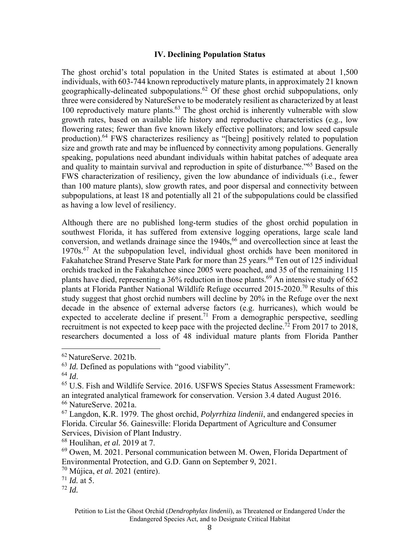#### **IV. Declining Population Status**

The ghost orchid's total population in the United States is estimated at about 1,500 individuals, with 603-744 known reproductively mature plants, in approximately 21 known geographically-delineated subpopulations.62 Of these ghost orchid subpopulations, only three were considered by NatureServe to be moderately resilient as characterized by at least 100 reproductively mature plants. $63$  The ghost orchid is inherently vulnerable with slow growth rates, based on available life history and reproductive characteristics (e.g., low flowering rates; fewer than five known likely effective pollinators; and low seed capsule production).<sup>64</sup> FWS characterizes resiliency as "[being] positively related to population size and growth rate and may be influenced by connectivity among populations. Generally speaking, populations need abundant individuals within habitat patches of adequate area and quality to maintain survival and reproduction in spite of disturbance."65 Based on the FWS characterization of resiliency, given the low abundance of individuals (i.e., fewer than 100 mature plants), slow growth rates, and poor dispersal and connectivity between subpopulations, at least 18 and potentially all 21 of the subpopulations could be classified as having a low level of resiliency.

Although there are no published long-term studies of the ghost orchid population in southwest Florida, it has suffered from extensive logging operations, large scale land conversion, and wetlands drainage since the  $1940s<sup>66</sup>$  and overcollection since at least the 1970s.<sup>67</sup> At the subpopulation level, individual ghost orchids have been monitored in Fakahatchee Strand Preserve State Park for more than 25 years.<sup>68</sup> Ten out of 125 individual orchids tracked in the Fakahatchee since 2005 were poached, and 35 of the remaining 115 plants have died, representing a 36% reduction in those plants.<sup>69</sup> An intensive study of 652 plants at Florida Panther National Wildlife Refuge occurred 2015-2020.70 Results of this study suggest that ghost orchid numbers will decline by 20% in the Refuge over the next decade in the absence of external adverse factors (e.g. hurricanes), which would be expected to accelerate decline if present.<sup>71</sup> From a demographic perspective, seedling recruitment is not expected to keep pace with the projected decline.<sup>72</sup> From 2017 to 2018, researchers documented a loss of 48 individual mature plants from Florida Panther

<sup>62</sup> NatureServe. 2021b.

<sup>63</sup> *Id.* Defined as populations with "good viability".

<sup>&</sup>lt;sup>64</sup> *Id.* 65 *Id.* 65 *Id.* 65 *U.S.* Fish and Wildlife Service. 2016. USFWS Species Status Assessment Framework: an integrated analytical framework for conservation. Version 3.4 dated August 2016. 66 NatureServe. 2021a.

<sup>67</sup> Langdon, K.R. 1979. The ghost orchid, *Polyrrhiza lindenii*, and endangered species in Florida. Circular 56. Gainesville: Florida Department of Agriculture and Consumer Services, Division of Plant Industry.

<sup>68</sup> Houlihan, *et al.* 2019 at 7.

 $69$  Owen, M. 2021. Personal communication between M. Owen, Florida Department of Environmental Protection, and G.D. Gann on September 9, 2021.

<sup>70</sup> Mújica, *et al.* 2021 (entire).

 $71$  *Id.* at 5.

 $72$  *Id.*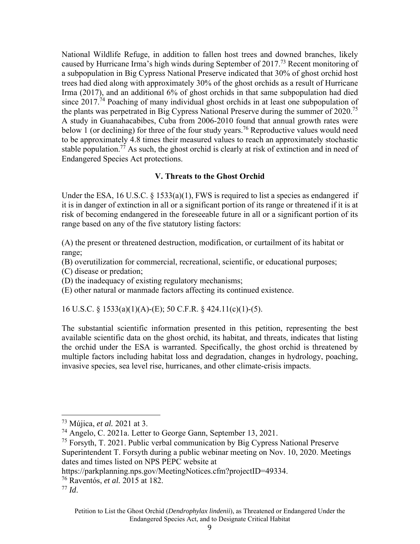National Wildlife Refuge, in addition to fallen host trees and downed branches, likely caused by Hurricane Irma's high winds during September of 2017.<sup>73</sup> Recent monitoring of a subpopulation in Big Cypress National Preserve indicated that 30% of ghost orchid host trees had died along with approximately 30% of the ghost orchids as a result of Hurricane Irma (2017), and an additional 6% of ghost orchids in that same subpopulation had died since 2017.<sup>74</sup> Poaching of many individual ghost orchids in at least one subpopulation of the plants was perpetrated in Big Cypress National Preserve during the summer of  $2020$ <sup>75</sup> A study in Guanahacabibes, Cuba from 2006-2010 found that annual growth rates were below 1 (or declining) for three of the four study years.<sup>76</sup> Reproductive values would need to be approximately 4.8 times their measured values to reach an approximately stochastic stable population.<sup>77</sup> As such, the ghost orchid is clearly at risk of extinction and in need of Endangered Species Act protections.

### **V. Threats to the Ghost Orchid**

Under the ESA, 16 U.S.C.  $\S$  1533(a)(1), FWS is required to list a species as endangered if it is in danger of extinction in all or a significant portion of its range or threatened if it is at risk of becoming endangered in the foreseeable future in all or a significant portion of its range based on any of the five statutory listing factors:

(A) the present or threatened destruction, modification, or curtailment of its habitat or range;

- (B) overutilization for commercial, recreational, scientific, or educational purposes;
- (C) disease or predation;
- (D) the inadequacy of existing regulatory mechanisms;
- (E) other natural or manmade factors affecting its continued existence.

16 U.S.C. § 1533(a)(1)(A)-(E); 50 C.F.R. § 424.11(c)(1)-(5).

The substantial scientific information presented in this petition, representing the best available scientific data on the ghost orchid, its habitat, and threats, indicates that listing the orchid under the ESA is warranted. Specifically, the ghost orchid is threatened by multiple factors including habitat loss and degradation, changes in hydrology, poaching, invasive species, sea level rise, hurricanes, and other climate-crisis impacts.

<sup>73</sup> Mújica, *et al.* 2021 at 3.

<sup>74</sup> Angelo, C. 2021a. Letter to George Gann, September 13, 2021.

 $75$  Forsyth, T. 2021. Public verbal communication by Big Cypress National Preserve Superintendent T. Forsyth during a public webinar meeting on Nov. 10, 2020. Meetings dates and times listed on NPS PEPC website at

https://parkplanning.nps.gov/MeetingNotices.cfm?projectID=49334. 76 Raventós, *et al.* 2015 at 182.

<sup>77</sup> *Id*.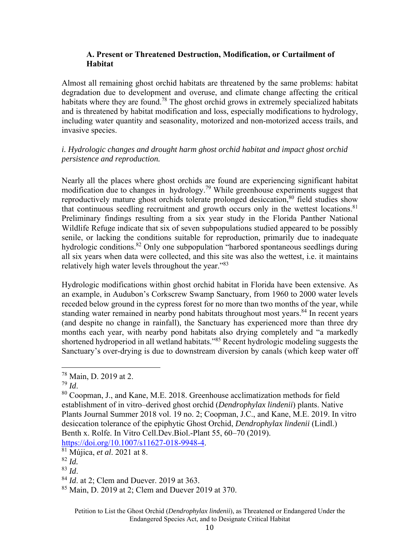# **A. Present or Threatened Destruction, Modification, or Curtailment of Habitat**

Almost all remaining ghost orchid habitats are threatened by the same problems: habitat degradation due to development and overuse, and climate change affecting the critical habitats where they are found.<sup>78</sup> The ghost orchid grows in extremely specialized habitats and is threatened by habitat modification and loss, especially modifications to hydrology, including water quantity and seasonality, motorized and non-motorized access trails, and invasive species.

# *i. Hydrologic changes and drought harm ghost orchid habitat and impact ghost orchid persistence and reproduction.*

Nearly all the places where ghost orchids are found are experiencing significant habitat modification due to changes in hydrology.<sup>79</sup> While greenhouse experiments suggest that reproductively mature ghost orchids tolerate prolonged desiccation,<sup>80</sup> field studies show that continuous seedling recruitment and growth occurs only in the wettest locations. $81$ Preliminary findings resulting from a six year study in the Florida Panther National Wildlife Refuge indicate that six of seven subpopulations studied appeared to be possibly senile, or lacking the conditions suitable for reproduction, primarily due to inadequate hydrologic conditions.<sup>82</sup> Only one subpopulation "harbored spontaneous seedlings during all six years when data were collected, and this site was also the wettest, i.e. it maintains relatively high water levels throughout the year."<sup>83</sup>

Hydrologic modifications within ghost orchid habitat in Florida have been extensive. As an example, in Audubon's Corkscrew Swamp Sanctuary, from 1960 to 2000 water levels receded below ground in the cypress forest for no more than two months of the year, while standing water remained in nearby pond habitats throughout most years.<sup>84</sup> In recent years (and despite no change in rainfall), the Sanctuary has experienced more than three dry months each year, with nearby pond habitats also drying completely and "a markedly shortened hydroperiod in all wetland habitats."<sup>85</sup> Recent hydrologic modeling suggests the Sanctuary's over-drying is due to downstream diversion by canals (which keep water off

https://doi.org/10.1007/s11627-018-9948-4. 81 Mújica, *et al*. 2021 at 8.

<sup>83</sup> *Id*.<br><sup>84</sup> *Id*. at 2; Clem and Duever. 2019 at 363.<br><sup>85</sup> Main, D. 2019 at 2; Clem and Duever 2019 at 370.

 $^{78}$  Main, D. 2019 at 2.<br> $^{79}$  *Id.* 

<sup>&</sup>lt;sup>80</sup> Coopman, J., and Kane, M.E. 2018. Greenhouse acclimatization methods for field establishment of in vitro–derived ghost orchid (*Dendrophylax lindenii*) plants. Native Plants Journal Summer 2018 vol. 19 no. 2; Coopman, J.C., and Kane, M.E. 2019. In vitro desiccation tolerance of the epiphytic Ghost Orchid, *Dendrophylax lindenii* (Lindl.) Benth x. Rolfe. In Vitro Cell.Dev.Biol.-Plant 55, 60–70 (2019).

<sup>82</sup> *Id.*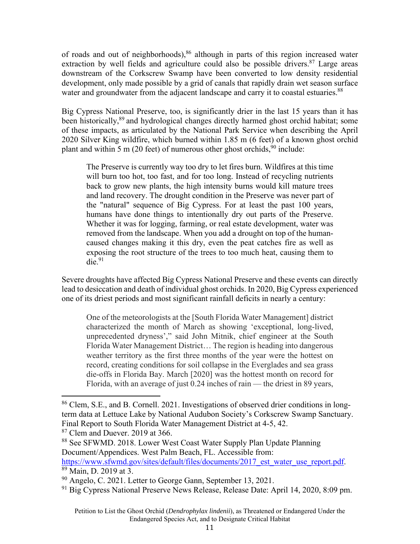of roads and out of neighborhoods), $86$  although in parts of this region increased water extraction by well fields and agriculture could also be possible drivers. <sup>87</sup> Large areas downstream of the Corkscrew Swamp have been converted to low density residential development, only made possible by a grid of canals that rapidly drain wet season surface water and groundwater from the adjacent landscape and carry it to coastal estuaries.<sup>88</sup>

Big Cypress National Preserve, too, is significantly drier in the last 15 years than it has been historically,<sup>89</sup> and hydrological changes directly harmed ghost orchid habitat; some of these impacts, as articulated by the National Park Service when describing the April 2020 Silver King wildfire, which burned within 1.85 m (6 feet) of a known ghost orchid plant and within 5 m (20 feet) of numerous other ghost orchids,  $90$  include:

The Preserve is currently way too dry to let fires burn. Wildfires at this time will burn too hot, too fast, and for too long. Instead of recycling nutrients back to grow new plants, the high intensity burns would kill mature trees and land recovery. The drought condition in the Preserve was never part of the "natural" sequence of Big Cypress. For at least the past 100 years, humans have done things to intentionally dry out parts of the Preserve. Whether it was for logging, farming, or real estate development, water was removed from the landscape. When you add a drought on top of the humancaused changes making it this dry, even the peat catches fire as well as exposing the root structure of the trees to too much heat, causing them to  $die.<sup>91</sup>$ 

Severe droughts have affected Big Cypress National Preserve and these events can directly lead to desiccation and death of individual ghost orchids. In 2020, Big Cypress experienced one of its driest periods and most significant rainfall deficits in nearly a century:

One of the meteorologists at the [South Florida Water Management] district characterized the month of March as showing 'exceptional, long-lived, unprecedented dryness'," said John Mitnik, chief engineer at the South Florida Water Management District… The region is heading into dangerous weather territory as the first three months of the year were the hottest on record, creating conditions for soil collapse in the Everglades and sea grass die-offs in Florida Bay. March [2020] was the hottest month on record for Florida, with an average of just 0.24 inches of rain — the driest in 89 years,

87 Clem and Duever. 2019 at 366.

<sup>86</sup> Clem, S.E., and B. Cornell. 2021. Investigations of observed drier conditions in longterm data at Lettuce Lake by National Audubon Society's Corkscrew Swamp Sanctuary. Final Report to South Florida Water Management District at 4-5, 42.

<sup>88</sup> See SFWMD. 2018. Lower West Coast Water Supply Plan Update Planning Document/Appendices. West Palm Beach, FL. Accessible from: https://www.sfwmd.gov/sites/default/files/documents/2017\_est\_water\_use\_report.pdf. <sup>89</sup> Main, D. 2019 at 3.

<sup>&</sup>lt;sup>90</sup> Angelo, C. 2021. Letter to George Gann, September 13, 2021.

 $91$  Big Cypress National Preserve News Release, Release Date: April 14, 2020, 8:09 pm.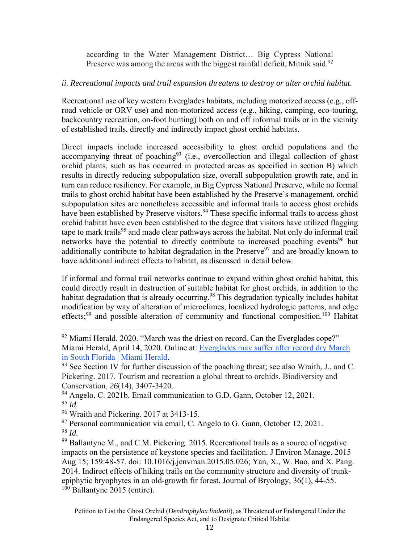according to the Water Management District… Big Cypress National Preserve was among the areas with the biggest rainfall deficit, Mitnik said.<sup>92</sup>

# *ii. Recreational impacts and trail expansion threatens to destroy or alter orchid habitat.*

Recreational use of key western Everglades habitats, including motorized access (e.g., offroad vehicle or ORV use) and non-motorized access (e.g., hiking, camping, eco-touring, backcountry recreation, on-foot hunting) both on and off informal trails or in the vicinity of established trails, directly and indirectly impact ghost orchid habitats.

Direct impacts include increased accessibility to ghost orchid populations and the accompanying threat of poaching<sup>93</sup> (i.e., overcollection and illegal collection of ghost orchid plants, such as has occurred in protected areas as specified in section B) which results in directly reducing subpopulation size, overall subpopulation growth rate, and in turn can reduce resiliency. For example, in Big Cypress National Preserve, while no formal trails to ghost orchid habitat have been established by the Preserve's management, orchid subpopulation sites are nonetheless accessible and informal trails to access ghost orchids have been established by Preserve visitors.<sup>94</sup> These specific informal trails to access ghost orchid habitat have even been established to the degree that visitors have utilized flagging tape to mark trails<sup>95</sup> and made clear pathways across the habitat. Not only do informal trail networks have the potential to directly contribute to increased poaching events<sup>96</sup> but additionally contribute to habitat degradation in the Preserve<sup>97</sup> and are broadly known to have additional indirect effects to habitat, as discussed in detail below.

If informal and formal trail networks continue to expand within ghost orchid habitat, this could directly result in destruction of suitable habitat for ghost orchids, in addition to the habitat degradation that is already occurring.<sup>98</sup> This degradation typically includes habitat modification by way of alteration of microclimes, localized hydrologic patterns, and edge effects;<sup>99</sup> and possible alteration of community and functional composition.<sup>100</sup> Habitat

 $92$  Miami Herald. 2020. "March was the driest on record. Can the Everglades cope?" Miami Herald, April 14, 2020. Online at: Everglades may suffer after record dry March in South Florida | Miami Herald.<br><sup>93</sup> See Section IV for further discussion of the poaching threat; see also Wraith, J., and C.

Pickering. 2017. Tourism and recreation a global threat to orchids. Biodiversity and Conservation, *26*(14), 3407-3420.

<sup>&</sup>lt;sup>94</sup> Angelo, C. 2021b. Email communication to G.D. Gann, October 12, 2021. <sup>95</sup> *Id.* 

<sup>96</sup> Wraith and Pickering. 2017 at 3413-15.

 $97$  Personal communication via email, C. Angelo to G. Gann, October 12, 2021. <sup>98</sup> *Id.* 

 $99$  Ballantyne M., and C.M. Pickering. 2015. Recreational trails as a source of negative impacts on the persistence of keystone species and facilitation. J Environ Manage. 2015 Aug 15; 159:48-57. doi: 10.1016/j.jenvman.2015.05.026; Yan, X., W. Bao, and X. Pang. 2014. Indirect effects of hiking trails on the community structure and diversity of trunkepiphytic bryophytes in an old-growth fir forest. Journal of Bryology, 36(1), 44-55.  $100$  Ballantyne 2015 (entire).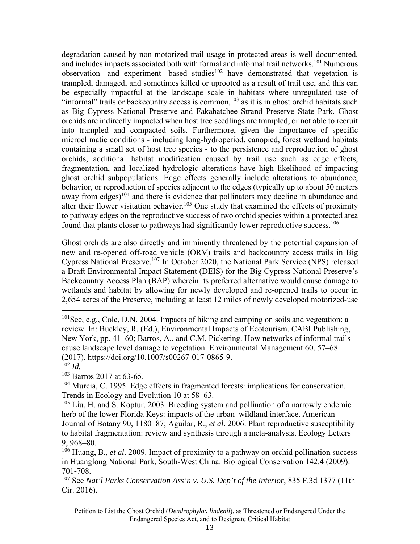degradation caused by non-motorized trail usage in protected areas is well-documented, and includes impacts associated both with formal and informal trail networks.<sup>101</sup> Numerous observation- and experiment- based studies<sup>102</sup> have demonstrated that vegetation is trampled, damaged, and sometimes killed or uprooted as a result of trail use, and this can be especially impactful at the landscape scale in habitats where unregulated use of "informal" trails or backcountry access is common,  $103$  as it is in ghost orchid habitats such as Big Cypress National Preserve and Fakahatchee Strand Preserve State Park. Ghost orchids are indirectly impacted when host tree seedlings are trampled, or not able to recruit into trampled and compacted soils. Furthermore, given the importance of specific microclimatic conditions - including long-hydroperiod, canopied, forest wetland habitats containing a small set of host tree species - to the persistence and reproduction of ghost orchids, additional habitat modification caused by trail use such as edge effects, fragmentation, and localized hydrologic alterations have high likelihood of impacting ghost orchid subpopulations. Edge effects generally include alterations to abundance, behavior, or reproduction of species adjacent to the edges (typically up to about 50 meters away from edges)<sup>104</sup> and there is evidence that pollinators may decline in abundance and alter their flower visitation behavior.<sup>105</sup> One study that examined the effects of proximity to pathway edges on the reproductive success of two orchid species within a protected area found that plants closer to pathways had significantly lower reproductive success.<sup>106</sup>

Ghost orchids are also directly and imminently threatened by the potential expansion of new and re-opened off-road vehicle (ORV) trails and backcountry access trails in Big Cypress National Preserve.107 In October 2020, the National Park Service (NPS) released a Draft Environmental Impact Statement (DEIS) for the Big Cypress National Preserve's Backcountry Access Plan (BAP) wherein its preferred alternative would cause damage to wetlands and habitat by allowing for newly developed and re-opened trails to occur in 2,654 acres of the Preserve, including at least 12 miles of newly developed motorized-use

<sup>&</sup>lt;sup>101</sup>See, e.g., Cole, D.N. 2004. Impacts of hiking and camping on soils and vegetation: a review. In: Buckley, R. (Ed.), Environmental Impacts of Ecotourism. CABI Publishing, New York, pp. 41–60; Barros, A., and C.M. Pickering. How networks of informal trails cause landscape level damage to vegetation. Environmental Management 60, 57–68 (2017). https://doi.org/10.1007/s00267-017-0865-9.  $^{102}$  *Id.* 

<sup>103</sup> Barros 2017 at 63-65.

<sup>&</sup>lt;sup>104</sup> Murcia, C. 1995. Edge effects in fragmented forests: implications for conservation. Trends in Ecology and Evolution 10 at 58–63.

 $105$  Liu, H. and S. Koptur. 2003. Breeding system and pollination of a narrowly endemic herb of the lower Florida Keys: impacts of the urban–wildland interface. American Journal of Botany 90, 1180–87; Aguilar, R., *et al*. 2006. Plant reproductive susceptibility to habitat fragmentation: review and synthesis through a meta-analysis. Ecology Letters 9, 968–80.

<sup>106</sup> Huang, B., *et al*. 2009. Impact of proximity to a pathway on orchid pollination success in Huanglong National Park, South-West China. Biological Conservation 142.4 (2009): 701-708.

<sup>107</sup> See *Nat'l Parks Conservation Ass'n v. U.S. Dep't of the Interior*, 835 F.3d 1377 (11th Cir. 2016).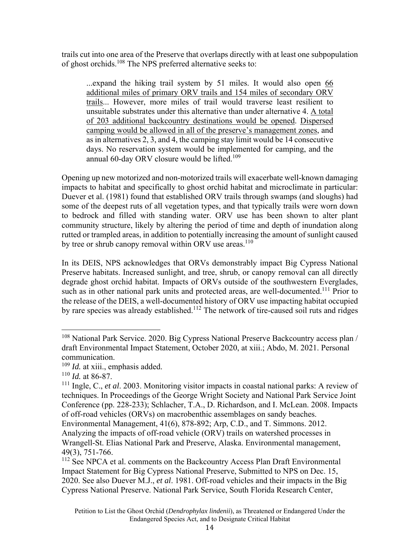trails cut into one area of the Preserve that overlaps directly with at least one subpopulation of ghost orchids.108 The NPS preferred alternative seeks to:

...expand the hiking trail system by 51 miles. It would also open 66 additional miles of primary ORV trails and 154 miles of secondary ORV trails... However, more miles of trail would traverse least resilient to unsuitable substrates under this alternative than under alternative 4. A total of 203 additional backcountry destinations would be opened. Dispersed camping would be allowed in all of the preserve's management zones, and as in alternatives 2, 3, and 4, the camping stay limit would be 14 consecutive days. No reservation system would be implemented for camping, and the annual 60-day ORV closure would be lifted.<sup>109</sup>

Opening up new motorized and non-motorized trails will exacerbate well-known damaging impacts to habitat and specifically to ghost orchid habitat and microclimate in particular: Duever et al. (1981) found that established ORV trails through swamps (and sloughs) had some of the deepest ruts of all vegetation types, and that typically trails were worn down to bedrock and filled with standing water. ORV use has been shown to alter plant community structure, likely by altering the period of time and depth of inundation along rutted or trampled areas, in addition to potentially increasing the amount of sunlight caused by tree or shrub canopy removal within ORV use areas.<sup>110</sup>

In its DEIS, NPS acknowledges that ORVs demonstrably impact Big Cypress National Preserve habitats. Increased sunlight, and tree, shrub, or canopy removal can all directly degrade ghost orchid habitat. Impacts of ORVs outside of the southwestern Everglades, such as in other national park units and protected areas, are well-documented.<sup>111</sup> Prior to the release of the DEIS, a well-documented history of ORV use impacting habitat occupied by rare species was already established.<sup>112</sup> The network of tire-caused soil ruts and ridges

<sup>108</sup> National Park Service. 2020. Big Cypress National Preserve Backcountry access plan / draft Environmental Impact Statement, October 2020, at xiii.; Abdo, M. 2021. Personal communication.

<sup>109</sup> *Id.* at xiii., emphasis added.

<sup>110</sup> *Id.* at 86-87.

<sup>111</sup> Ingle, C., *et al*. 2003. Monitoring visitor impacts in coastal national parks: A review of techniques. In Proceedings of the George Wright Society and National Park Service Joint Conference (pp. 228-233); Schlacher, T.A., D. Richardson, and I. McLean. 2008. Impacts of off-road vehicles (ORVs) on macrobenthic assemblages on sandy beaches.

Environmental Management, 41(6), 878-892; Arp, C.D., and T. Simmons. 2012. Analyzing the impacts of off-road vehicle (ORV) trails on watershed processes in Wrangell-St. Elias National Park and Preserve, Alaska. Environmental management, 49(3), 751-766.

<sup>&</sup>lt;sup>112</sup> See NPCA et al. comments on the Backcountry Access Plan Draft Environmental Impact Statement for Big Cypress National Preserve, Submitted to NPS on Dec. 15, 2020. See also Duever M.J., *et al*. 1981. Off-road vehicles and their impacts in the Big Cypress National Preserve. National Park Service, South Florida Research Center,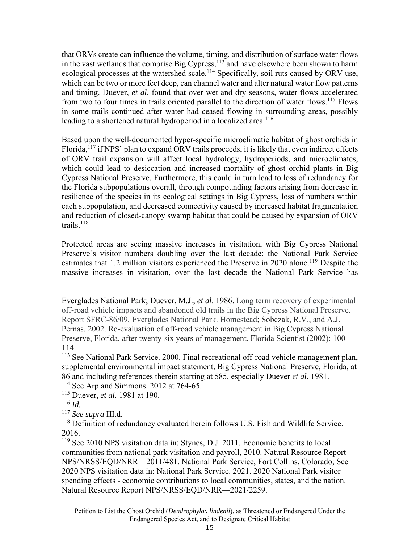that ORVs create can influence the volume, timing, and distribution of surface water flows in the vast wetlands that comprise Big Cypress, $^{113}$  and have elsewhere been shown to harm ecological processes at the watershed scale.114 Specifically, soil ruts caused by ORV use, which can be two or more feet deep, can channel water and alter natural water flow patterns and timing. Duever, *et al*. found that over wet and dry seasons, water flows accelerated from two to four times in trails oriented parallel to the direction of water flows.<sup>115</sup> Flows in some trails continued after water had ceased flowing in surrounding areas, possibly leading to a shortened natural hydroperiod in a localized area.<sup>116</sup>

Based upon the well-documented hyper-specific microclimatic habitat of ghost orchids in Florida,<sup>117</sup> if NPS' plan to expand ORV trails proceeds, it is likely that even indirect effects of ORV trail expansion will affect local hydrology, hydroperiods, and microclimates, which could lead to desiccation and increased mortality of ghost orchid plants in Big Cypress National Preserve. Furthermore, this could in turn lead to loss of redundancy for the Florida subpopulations overall, through compounding factors arising from decrease in resilience of the species in its ecological settings in Big Cypress, loss of numbers within each subpopulation, and decreased connectivity caused by increased habitat fragmentation and reduction of closed-canopy swamp habitat that could be caused by expansion of ORV trails. $118$ 

Protected areas are seeing massive increases in visitation, with Big Cypress National Preserve's visitor numbers doubling over the last decade: the National Park Service estimates that 1.2 million visitors experienced the Preserve in 2020 alone.<sup>119</sup> Despite the massive increases in visitation, over the last decade the National Park Service has

Everglades National Park; Duever, M.J., *et al*. 1986. Long term recovery of experimental off-road vehicle impacts and abandoned old trails in the Big Cypress National Preserve. Report SFRC-86/09, Everglades National Park. Homestead; Sobczak, R.V., and A.J. Pernas. 2002. Re-evaluation of off-road vehicle management in Big Cypress National Preserve, Florida, after twenty-six years of management. Florida Scientist (2002): 100- 114.

<sup>&</sup>lt;sup>113</sup> See National Park Service. 2000. Final recreational off-road vehicle management plan, supplemental environmental impact statement, Big Cypress National Preserve, Florida, at 86 and including references therein starting at 585, especially Duever *et al*. 1981. <sup>114</sup> See Arp and Simmons. 2012 at 764-65.

<sup>115</sup> Duever, *et al.* 1981 at 190.

 $^{116}$  *Id.* 

<sup>117</sup> *See supra* III.d.

<sup>&</sup>lt;sup>118</sup> Definition of redundancy evaluated herein follows U.S. Fish and Wildlife Service. 2016.

<sup>119</sup> See 2010 NPS visitation data in: Stynes, D.J. 2011. Economic benefits to local communities from national park visitation and payroll, 2010. Natural Resource Report NPS/NRSS/EQD/NRR—2011/481. National Park Service, Fort Collins, Colorado; See 2020 NPS visitation data in: National Park Service. 2021. 2020 National Park visitor spending effects - economic contributions to local communities, states, and the nation. Natural Resource Report NPS/NRSS/EQD/NRR—2021/2259.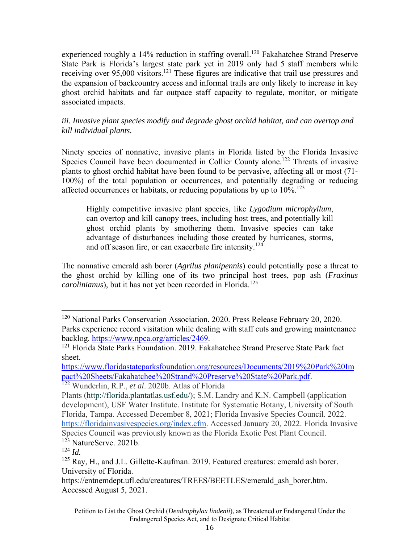experienced roughly a 14% reduction in staffing overall.<sup>120</sup> Fakahatchee Strand Preserve State Park is Florida's largest state park yet in 2019 only had 5 staff members while receiving over 95,000 visitors.<sup>121</sup> These figures are indicative that trail use pressures and the expansion of backcountry access and informal trails are only likely to increase in key ghost orchid habitats and far outpace staff capacity to regulate, monitor, or mitigate associated impacts.

*iii. Invasive plant species modify and degrade ghost orchid habitat, and can overtop and kill individual plants.*

Ninety species of nonnative, invasive plants in Florida listed by the Florida Invasive Species Council have been documented in Collier County alone.<sup>122</sup> Threats of invasive plants to ghost orchid habitat have been found to be pervasive, affecting all or most (71- 100%) of the total population or occurrences, and potentially degrading or reducing affected occurrences or habitats, or reducing populations by up to  $10\%$ <sup>123</sup>

Highly competitive invasive plant species, like *Lygodium microphyllum*, can overtop and kill canopy trees, including host trees, and potentially kill ghost orchid plants by smothering them. Invasive species can take advantage of disturbances including those created by hurricanes, storms, and off season fire, or can exacerbate fire intensity.<sup>124</sup>

The nonnative emerald ash borer (*Agrilus planipennis*) could potentially pose a threat to the ghost orchid by killing one of its two principal host trees, pop ash (*Fraxinus carolinianus*), but it has not yet been recorded in Florida.<sup>125</sup>

<sup>120</sup> National Parks Conservation Association. 2020. Press Release February 20, 2020. Parks experience record visitation while dealing with staff cuts and growing maintenance backlog. https://www.npca.org/articles/2469.<br><sup>121</sup> Florida State Parks Foundation. 2019. Fakahatchee Strand Preserve State Park fact

sheet.

https://www.floridastateparksfoundation.org/resources/Documents/2019%20Park%20Im pact%20Sheets/Fakahatchee%20Strand%20Preserve%20State%20Park.pdf. 122 Wunderlin, R.P., *et al*. 2020b. Atlas of Florida

Plants (http://florida.plantatlas.usf.edu/); S.M. Landry and K.N. Campbell (application development), USF Water Institute. Institute for Systematic Botany, University of South Florida, Tampa. Accessed December 8, 2021; Florida Invasive Species Council. 2022. https://floridainvasivespecies.org/index.cfm. Accessed January 20, 2022. Florida Invasive Species Council was previously known as the Florida Exotic Pest Plant Council.  $123$  NatureServe. 2021b.

 $124$  *Id.* 

<sup>&</sup>lt;sup>125</sup> Ray, H., and J.L. Gillette-Kaufman. 2019. Featured creatures: emerald ash borer. University of Florida.

https://entnemdept.ufl.edu/creatures/TREES/BEETLES/emerald\_ash\_borer.htm. Accessed August 5, 2021.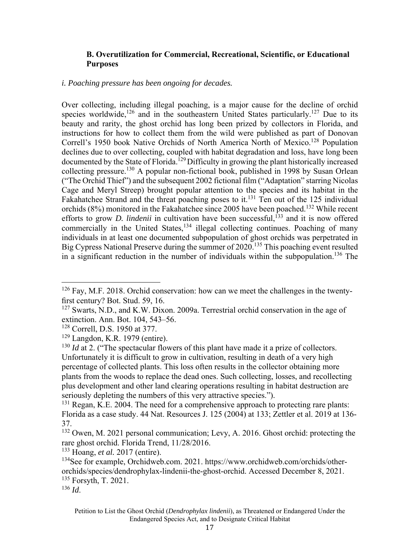### **B. Overutilization for Commercial, Recreational, Scientific, or Educational Purposes**

#### *i. Poaching pressure has been ongoing for decades.*

Over collecting, including illegal poaching, is a major cause for the decline of orchid species worldwide,<sup>126</sup> and in the southeastern United States particularly.<sup>127</sup> Due to its beauty and rarity, the ghost orchid has long been prized by collectors in Florida, and instructions for how to collect them from the wild were published as part of Donovan Correll's 1950 book Native Orchids of North America North of Mexico.<sup>128</sup> Population declines due to over collecting, coupled with habitat degradation and loss, have long been documented by the State of Florida.<sup>129</sup> Difficulty in growing the plant historically increased collecting pressure.130 A popular non-fictional book, published in 1998 by Susan Orlean ("The Orchid Thief") and the subsequent 2002 fictional film ("Adaptation" starring Nicolas Cage and Meryl Streep) brought popular attention to the species and its habitat in the Fakahatchee Strand and the threat poaching poses to it.<sup>131</sup> Ten out of the 125 individual orchids  $(8\%)$  monitored in the Fakahatchee since 2005 have been poached.<sup>132</sup> While recent efforts to grow *D. lindenii* in cultivation have been successful,<sup> $133$ </sup> and it is now offered commercially in the United States,<sup>134</sup> illegal collecting continues. Poaching of many individuals in at least one documented subpopulation of ghost orchids was perpetrated in Big Cypress National Preserve during the summer of 2020.<sup>135</sup> This poaching event resulted in a significant reduction in the number of individuals within the subpopulation.<sup>136</sup> The

133 Hoang, *et al.* 2017 (entire).

 $126$  Fay, M.F. 2018. Orchid conservation: how can we meet the challenges in the twentyfirst century? Bot. Stud. 59, 16.

<sup>&</sup>lt;sup>127</sup> Swarts, N.D., and K.W. Dixon. 2009a. Terrestrial orchid conservation in the age of extinction. Ann. Bot. 104, 543–56.

<sup>128</sup> Correll, D.S. 1950 at 377.

<sup>129</sup> Langdon, K.R. 1979 (entire).

<sup>&</sup>lt;sup>130</sup> *Id* at 2. ("The spectacular flowers of this plant have made it a prize of collectors. Unfortunately it is difficult to grow in cultivation, resulting in death of a very high percentage of collected plants. This loss often results in the collector obtaining more plants from the woods to replace the dead ones. Such collecting, losses, and recollecting plus development and other land clearing operations resulting in habitat destruction are seriously depleting the numbers of this very attractive species.").

 $131$  Regan, K.E. 2004. The need for a comprehensive approach to protecting rare plants: Florida as a case study. 44 Nat. Resources J. 125 (2004) at 133; Zettler et al. 2019 at 136- 37.

<sup>132</sup> Owen, M. 2021 personal communication; Levy, A. 2016. Ghost orchid: protecting the rare ghost orchid. Florida Trend, 11/28/2016.

<sup>134</sup>See for example, Orchidweb.com. 2021. https://www.orchidweb.com/orchids/otherorchids/species/dendrophylax-lindenii-the-ghost-orchid. Accessed December 8, 2021. 135 Forsyth, T. 2021.

<sup>136</sup> *Id*.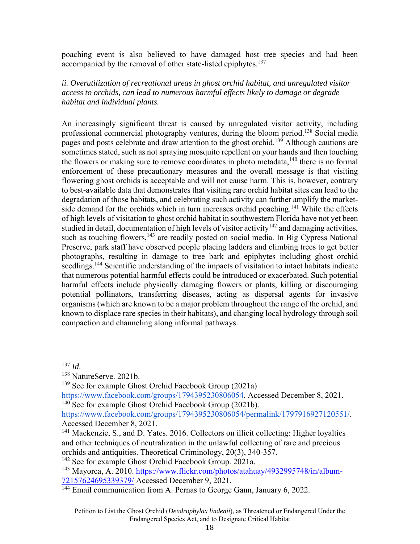poaching event is also believed to have damaged host tree species and had been accompanied by the removal of other state-listed epiphytes.<sup>137</sup>

*ii. Overutilization of recreational areas in ghost orchid habitat, and unregulated visitor access to orchids, can lead to numerous harmful effects likely to damage or degrade habitat and individual plants.*

An increasingly significant threat is caused by unregulated visitor activity, including professional commercial photography ventures, during the bloom period.<sup>138</sup> Social media pages and posts celebrate and draw attention to the ghost orchid.<sup>139</sup> Although cautions are sometimes stated, such as not spraying mosquito repellent on your hands and then touching the flowers or making sure to remove coordinates in photo metadata,  $140$  there is no formal enforcement of these precautionary measures and the overall message is that visiting flowering ghost orchids is acceptable and will not cause harm. This is, however, contrary to best-available data that demonstrates that visiting rare orchid habitat sites can lead to the degradation of those habitats, and celebrating such activity can further amplify the marketside demand for the orchids which in turn increases orchid poaching.<sup>141</sup> While the effects of high levels of visitation to ghost orchid habitat in southwestern Florida have not yet been studied in detail, documentation of high levels of visitor activity<sup>142</sup> and damaging activities, such as touching flowers, $143$  are readily posted on social media. In Big Cypress National Preserve, park staff have observed people placing ladders and climbing trees to get better photographs, resulting in damage to tree bark and epiphytes including ghost orchid seedlings.<sup>144</sup> Scientific understanding of the impacts of visitation to intact habitats indicate that numerous potential harmful effects could be introduced or exacerbated. Such potential harmful effects include physically damaging flowers or plants, killing or discouraging potential pollinators, transferring diseases, acting as dispersal agents for invasive organisms (which are known to be a major problem throughout the range of the orchid, and known to displace rare species in their habitats), and changing local hydrology through soil compaction and channeling along informal pathways.

<sup>&</sup>lt;sup>137</sup> *Id*.<br><sup>138</sup> NatureServe. 2021b.

<sup>139</sup> See for example Ghost Orchid Facebook Group (2021a)

https://www.facebook.com/groups/1794395230806054. Accessed December 8, 2021.  $140$  See for example Ghost Orchid Facebook Group (2021b).

https://www.facebook.com/groups/1794395230806054/permalink/1797916927120551/. Accessed December 8, 2021.

<sup>&</sup>lt;sup>141</sup> Mackenzie, S., and D. Yates. 2016. Collectors on illicit collecting: Higher loyalties and other techniques of neutralization in the unlawful collecting of rare and precious orchids and antiquities. Theoretical Criminology, 20(3), 340-357. 142 See for example Ghost Orchid Facebook Group. 2021a.

<sup>&</sup>lt;sup>143</sup> Mayorca, A. 2010. https://www.flickr.com/photos/atahuay/4932995748/in/album-72157624695339379/ Accessed December 9, 2021.

<sup>&</sup>lt;sup>144</sup> Email communication from A. Pernas to George Gann, January 6, 2022.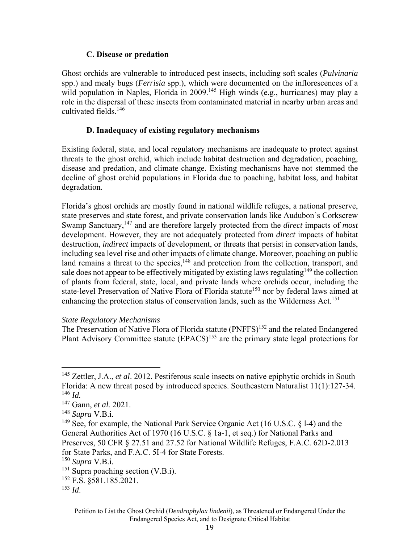### **C. Disease or predation**

Ghost orchids are vulnerable to introduced pest insects, including soft scales (*Pulvinaria* spp.) and mealy bugs (*Ferrisia* spp.), which were documented on the inflorescences of a wild population in Naples, Florida in 2009.<sup>145</sup> High winds (e.g., hurricanes) may play a role in the dispersal of these insects from contaminated material in nearby urban areas and cultivated fields.146

### **D. Inadequacy of existing regulatory mechanisms**

Existing federal, state, and local regulatory mechanisms are inadequate to protect against threats to the ghost orchid, which include habitat destruction and degradation, poaching, disease and predation, and climate change. Existing mechanisms have not stemmed the decline of ghost orchid populations in Florida due to poaching, habitat loss, and habitat degradation.

Florida's ghost orchids are mostly found in national wildlife refuges, a national preserve, state preserves and state forest, and private conservation lands like Audubon's Corkscrew Swamp Sanctuary,147 and are therefore largely protected from the *direct* impacts of *most*  development. However, they are not adequately protected from *direct* impacts of habitat destruction, *indirect* impacts of development, or threats that persist in conservation lands, including sea level rise and other impacts of climate change. Moreover, poaching on public land remains a threat to the species, $148$  and protection from the collection, transport, and sale does not appear to be effectively mitigated by existing laws regulating<sup>149</sup> the collection of plants from federal, state, local, and private lands where orchids occur, including the state-level Preservation of Native Flora of Florida statute<sup>150</sup> nor by federal laws aimed at enhancing the protection status of conservation lands, such as the Wilderness Act.<sup>151</sup>

### *State Regulatory Mechanisms*

The Preservation of Native Flora of Florida statute (PNFFS)<sup>152</sup> and the related Endangered Plant Advisory Committee statute  $(EPACS)^{153}$  are the primary state legal protections for

<sup>145</sup> Zettler, J.A., *et al*. 2012. Pestiferous scale insects on native epiphytic orchids in South Florida: A new threat posed by introduced species. Southeastern Naturalist 11(1):127-34. <sup>146</sup> *Id.* 

<sup>147</sup> Gann, *et al.* 2021.

<sup>148</sup> *Supra* V.B.i.

<sup>&</sup>lt;sup>149</sup> See, for example, the National Park Service Organic Act (16 U.S.C.  $\S$  1-4) and the General Authorities Act of 1970 (16 U.S.C. § 1a-1, et seq.) for National Parks and Preserves, 50 CFR § 27.51 and 27.52 for National Wildlife Refuges, F.A.C. 62D-2.013 for State Parks, and F.A.C. 5I-4 for State Forests.

<sup>150</sup> *Supra* V.B.i.

<sup>&</sup>lt;sup>151</sup> Supra poaching section (V.B.i).

<sup>152</sup> F.S. §581.185.2021.

<sup>153</sup> *Id*.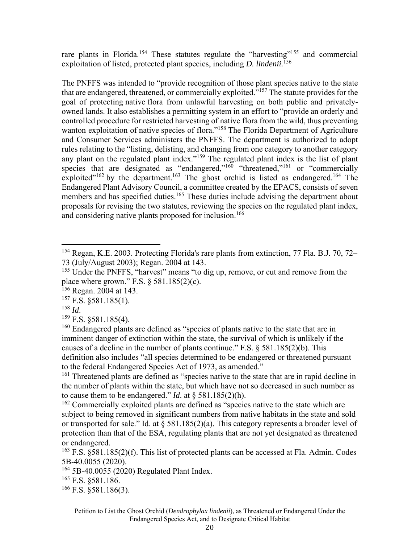rare plants in Florida.<sup>154</sup> These statutes regulate the "harvesting"<sup>155</sup> and commercial exploitation of listed, protected plant species, including *D. lindenii.*<sup>156</sup>

The PNFFS was intended to "provide recognition of those plant species native to the state that are endangered, threatened, or commercially exploited."157 The statute provides for the goal of protecting native flora from unlawful harvesting on both public and privatelyowned lands. It also establishes a permitting system in an effort to "provide an orderly and controlled procedure for restricted harvesting of native flora from the wild, thus preventing wanton exploitation of native species of flora."<sup>158</sup> The Florida Department of Agriculture and Consumer Services administers the PNFFS. The department is authorized to adopt rules relating to the "listing, delisting, and changing from one category to another category any plant on the regulated plant index."<sup>159</sup> The regulated plant index is the list of plant species that are designated as "endangered,"<sup>160</sup> "threatened,"<sup>161</sup> or "commercially exploited"<sup>162</sup> by the department.<sup>163</sup> The ghost orchid is listed as endangered.<sup>164</sup> The Endangered Plant Advisory Council, a committee created by the EPACS, consists of seven members and has specified duties.<sup>165</sup> These duties include advising the department about proposals for revising the two statutes, reviewing the species on the regulated plant index, and considering native plants proposed for inclusion.<sup>166</sup>

<sup>158</sup> *Id.* <sup>159</sup> F.S. §581.185(4).

<sup>161</sup> Threatened plants are defined as "species native to the state that are in rapid decline in the number of plants within the state, but which have not so decreased in such number as to cause them to be endangered." *Id*. at § 581.185(2)(h).

<sup>162</sup> Commercially exploited plants are defined as "species native to the state which are subject to being removed in significant numbers from native habitats in the state and sold or transported for sale." Id. at  $\S$  581.185(2)(a). This category represents a broader level of protection than that of the ESA, regulating plants that are not yet designated as threatened or endangered.

<sup>164</sup> 5B-40.0055 (2020) Regulated Plant Index.

165 F.S. §581.186.

 $166$  F.S. §581.186(3).

<sup>154</sup> Regan, K.E. 2003. Protecting Florida's rare plants from extinction, 77 Fla. B.J. 70, 72– 73 (July/August 2003); Regan. 2004 at 143.

<sup>&</sup>lt;sup>155</sup> Under the PNFFS, "harvest" means "to dig up, remove, or cut and remove from the place where grown." F.S.  $\S$  581.185(2)(c).

<sup>&</sup>lt;sup>156</sup> Regan. 2004 at 143.

 $157$  F.S. §581.185(1).

<sup>&</sup>lt;sup>160</sup> Endangered plants are defined as "species of plants native to the state that are in imminent danger of extinction within the state, the survival of which is unlikely if the causes of a decline in the number of plants continue." F.S. § 581.185(2)(b). This definition also includes "all species determined to be endangered or threatened pursuant to the federal Endangered Species Act of 1973, as amended."

<sup>&</sup>lt;sup>163</sup> F.S.  $\S 581.185(2)$ (f). This list of protected plants can be accessed at Fla. Admin. Codes 5B-40.0055 (2020).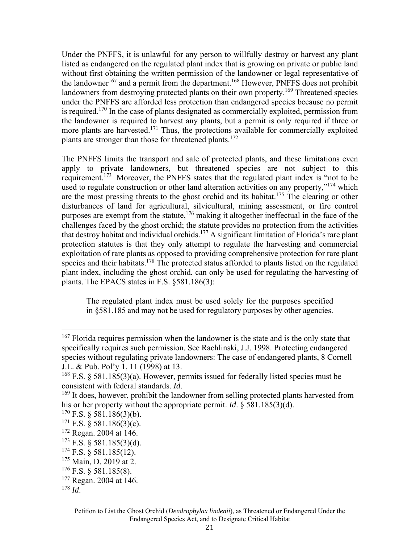Under the PNFFS, it is unlawful for any person to willfully destroy or harvest any plant listed as endangered on the regulated plant index that is growing on private or public land without first obtaining the written permission of the landowner or legal representative of the landowner<sup>167</sup> and a permit from the department.<sup>168</sup> However, PNFFS does not prohibit landowners from destroying protected plants on their own property.<sup>169</sup> Threatened species under the PNFFS are afforded less protection than endangered species because no permit is required.<sup>170</sup> In the case of plants designated as commercially exploited, permission from the landowner is required to harvest any plants, but a permit is only required if three or more plants are harvested.<sup>171</sup> Thus, the protections available for commercially exploited plants are stronger than those for threatened plants.<sup>172</sup>

The PNFFS limits the transport and sale of protected plants, and these limitations even apply to private landowners, but threatened species are not subject to this requirement.173 Moreover, the PNFFS states that the regulated plant index is "not to be used to regulate construction or other land alteration activities on any property,"<sup>174</sup> which are the most pressing threats to the ghost orchid and its habitat.<sup>175</sup> The clearing or other disturbances of land for agricultural, silvicultural, mining assessment, or fire control purposes are exempt from the statute,  $176$  making it altogether ineffectual in the face of the challenges faced by the ghost orchid; the statute provides no protection from the activities that destroy habitat and individual orchids.177 A significant limitation of Florida's rare plant protection statutes is that they only attempt to regulate the harvesting and commercial exploitation of rare plants as opposed to providing comprehensive protection for rare plant species and their habitats.<sup>178</sup> The protected status afforded to plants listed on the regulated plant index, including the ghost orchid, can only be used for regulating the harvesting of plants. The EPACS states in F.S. §581.186(3):

The regulated plant index must be used solely for the purposes specified in §581.185 and may not be used for regulatory purposes by other agencies.

<sup>&</sup>lt;sup>167</sup> Florida requires permission when the landowner is the state and is the only state that specifically requires such permission. See Rachlinski, J.J. 1998. Protecting endangered species without regulating private landowners: The case of endangered plants, 8 Cornell J.L. & Pub. Pol'y 1, 11 (1998) at 13.

<sup>&</sup>lt;sup>168</sup> F.S. § 581.185(3)(a). However, permits issued for federally listed species must be consistent with federal standards. *Id*. <sup>169</sup> It does, however, prohibit the landowner from selling protected plants harvested from

his or her property without the appropriate permit. *Id*. § 581.185(3)(d).

 $170$  F.S. § 581.186(3)(b).

 $171$  F.S. § 581.186(3)(c).

<sup>172</sup> Regan. 2004 at 146.

 $173$  F.S. § 581.185(3)(d).

 $174$  F.S. § 581.185(12).

<sup>&</sup>lt;sup>175</sup> Main, D. 2019 at 2.

 $176$  F.S. § 581.185(8).

<sup>&</sup>lt;sup>177</sup> Regan. 2004 at 146.

<sup>178</sup> *Id*.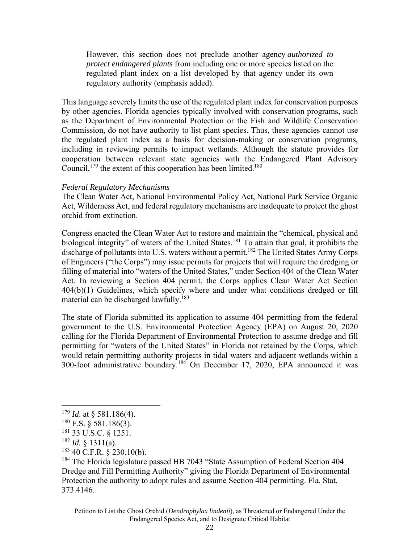However, this section does not preclude another agency *authorized to protect endangered plants* from including one or more species listed on the regulated plant index on a list developed by that agency under its own regulatory authority (emphasis added).

This language severely limits the use of the regulated plant index for conservation purposes by other agencies. Florida agencies typically involved with conservation programs, such as the Department of Environmental Protection or the Fish and Wildlife Conservation Commission, do not have authority to list plant species. Thus, these agencies cannot use the regulated plant index as a basis for decision-making or conservation programs, including in reviewing permits to impact wetlands. Although the statute provides for cooperation between relevant state agencies with the Endangered Plant Advisory Council,  $179$  the extent of this cooperation has been limited.<sup>180</sup>

#### *Federal Regulatory Mechanisms*

The Clean Water Act, National Environmental Policy Act, National Park Service Organic Act, Wilderness Act, and federal regulatory mechanisms are inadequate to protect the ghost orchid from extinction.

Congress enacted the Clean Water Act to restore and maintain the "chemical, physical and biological integrity" of waters of the United States.<sup>181</sup> To attain that goal, it prohibits the discharge of pollutants into U.S. waters without a permit.<sup>182</sup> The United States Army Corps of Engineers ("the Corps") may issue permits for projects that will require the dredging or filling of material into "waters of the United States," under Section 404 of the Clean Water Act. In reviewing a Section 404 permit, the Corps applies Clean Water Act Section 404(b)(1) Guidelines, which specify where and under what conditions dredged or fill material can be discharged lawfully.<sup>183</sup>

The state of Florida submitted its application to assume 404 permitting from the federal government to the U.S. Environmental Protection Agency (EPA) on August 20, 2020 calling for the Florida Department of Environmental Protection to assume dredge and fill permitting for "waters of the United States" in Florida not retained by the Corps, which would retain permitting authority projects in tidal waters and adjacent wetlands within a 300-foot administrative boundary.184 On December 17, 2020, EPA announced it was

<sup>179</sup> *Id*. at § 581.186(4).

 $180$  F.S.  $\frac{581.186(3)}{200}$ .

<sup>181 33</sup> U.S.C. § 1251.

 $182$  *Id.* § 1311(a).

 $183$  40 C.F.R. § 230.10(b).

<sup>&</sup>lt;sup>184</sup> The Florida legislature passed HB 7043 "State Assumption of Federal Section 404 Dredge and Fill Permitting Authority" giving the Florida Department of Environmental Protection the authority to adopt rules and assume Section 404 permitting. Fla. Stat. 373.4146.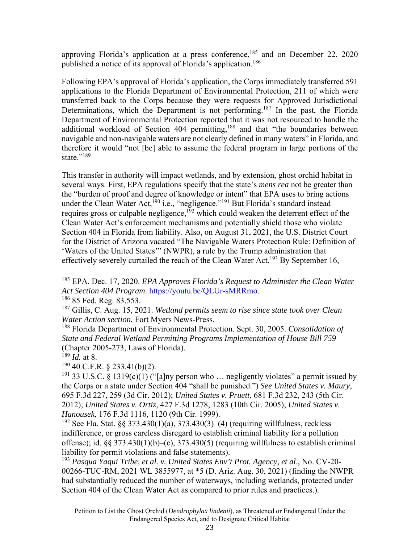approving Florida's application at a press conference,<sup>185</sup> and on December 22, 2020 published a notice of its approval of Florida's application.<sup>186</sup>

Following EPA's approval of Florida's application, the Corps immediately transferred 591 applications to the Florida Department of Environmental Protection, 211 of which were transferred back to the Corps because they were requests for Approved Jurisdictional Determinations, which the Department is not performing.<sup>187</sup> In the past, the Florida Department of Environmental Protection reported that it was not resourced to handle the additional workload of Section 404 permitting,<sup>188</sup> and that "the boundaries between navigable and non-navigable waters are not clearly defined in many waters" in Florida, and therefore it would "not [be] able to assume the federal program in large portions of the state."<sup>189</sup>

This transfer in authority will impact wetlands, and by extension, ghost orchid habitat in several ways. First, EPA regulations specify that the state's *mens rea* not be greater than the "burden of proof and degree of knowledge or intent" that EPA uses to bring actions under the Clean Water Act,<sup>190</sup> i.e., "negligence."<sup>191</sup> But Florida's standard instead requires gross or culpable negligence,<sup>192</sup> which could weaken the deterrent effect of the Clean Water Act's enforcement mechanisms and potentially shield those who violate Section 404 in Florida from liability. Also, on August 31, 2021, the U.S. District Court for the District of Arizona vacated "The Navigable Waters Protection Rule: Definition of 'Waters of the United States'" (NWPR), a rule by the Trump administration that effectively severely curtailed the reach of the Clean Water Act.<sup>193</sup> By September 16,

 $190$  40 C.F.R. § 233.41(b)(2).

<sup>185</sup> EPA. Dec. 17, 2020. *EPA Approves Florida's Request to Administer the Clean Water Act Section 404 Program*. https://youtu.be/QLUr-sMRRmo. 186 85 Fed. Reg. 83,553.

<sup>187</sup> Gillis, C. Aug. 15, 2021. *Wetland permits seem to rise since state took over Clean Water Action section.* Fort Myers News-Press.

<sup>188</sup> Florida Department of Environmental Protection. Sept. 30, 2005. *Consolidation of State and Federal Wetland Permitting Programs Implementation of House Bill 759* (Chapter 2005-273, Laws of Florida).

<sup>189</sup> *Id.* at 8.

<sup>&</sup>lt;sup>191</sup> 33 U.S.C. § 1319(c)(1) ("[a]ny person who ... negligently violates" a permit issued by the Corps or a state under Section 404 "shall be punished.") *See United States v. Maury*, 695 F.3d 227, 259 (3d Cir. 2012); *United States v. Pruett*, 681 F.3d 232, 243 (5th Cir. 2012); *United States v. Ortiz*, 427 F.3d 1278, 1283 (10th Cir. 2005); *United States v. Hanousek*, 176 F.3d 1116, 1120 (9th Cir. 1999).

<sup>&</sup>lt;sup>192</sup> See Fla. Stat. §§ 373.430(1)(a), 373.430(3)–(4) (requiring willfulness, reckless indifference, or gross careless disregard to establish criminal liability for a pollution offense); id. §§ 373.430(1)(b)–(c), 373.430(5) (requiring willfulness to establish criminal liability for permit violations and false statements).

<sup>193</sup> *Pasqua Yaqui Tribe, et al. v. United States Env't Prot. Agency, et al*., No. CV-20- 00266-TUC-RM, 2021 WL 3855977, at \*5 (D. Ariz. Aug. 30, 2021) (finding the NWPR had substantially reduced the number of waterways, including wetlands, protected under Section 404 of the Clean Water Act as compared to prior rules and practices.).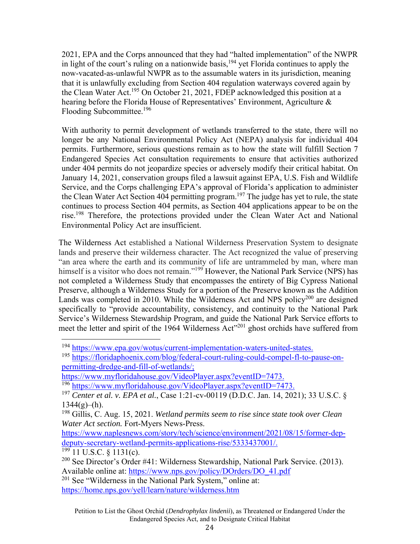2021, EPA and the Corps announced that they had "halted implementation" of the NWPR in light of the court's ruling on a nationwide basis,<sup>194</sup> yet Florida continues to apply the now-vacated-as-unlawful NWPR as to the assumable waters in its jurisdiction, meaning that it is unlawfully excluding from Section 404 regulation waterways covered again by the Clean Water Act.<sup>195</sup> On October 21, 2021, FDEP acknowledged this position at a hearing before the Florida House of Representatives' Environment, Agriculture & Flooding Subcommittee.196

With authority to permit development of wetlands transferred to the state, there will no longer be any National Environmental Policy Act (NEPA) analysis for individual 404 permits. Furthermore, serious questions remain as to how the state will fulfill Section 7 Endangered Species Act consultation requirements to ensure that activities authorized under 404 permits do not jeopardize species or adversely modify their critical habitat. On January 14, 2021, conservation groups filed a lawsuit against EPA, U.S. Fish and Wildlife Service, and the Corps challenging EPA's approval of Florida's application to administer the Clean Water Act Section 404 permitting program.<sup>197</sup> The judge has yet to rule, the state continues to process Section 404 permits, as Section 404 applications appear to be on the rise.198 Therefore, the protections provided under the Clean Water Act and National Environmental Policy Act are insufficient.

The Wilderness Act established a National Wilderness Preservation System to designate lands and preserve their wilderness character. The Act recognized the value of preserving "an area where the earth and its community of life are untrammeled by man, where man himself is a visitor who does not remain."<sup>199</sup> However, the National Park Service (NPS) has not completed a Wilderness Study that encompasses the entirety of Big Cypress National Preserve, although a Wilderness Study for a portion of the Preserve known as the Addition Lands was completed in 2010. While the Wilderness Act and NPS policy<sup>200</sup> are designed specifically to "provide accountability, consistency, and continuity to the National Park Service's Wilderness Stewardship Program, and guide the National Park Service efforts to meet the letter and spirit of the 1964 Wilderness Act"<sup>201</sup> ghost orchids have suffered from

https://www.naplesnews.com/story/tech/science/environment/2021/08/15/former-depdeputy-secretary-wetland-permits-applications-rise/5333437001/.

 $199$  11 U.S.C. § 1131(c).

<sup>201</sup> See "Wilderness in the National Park System," online at: https://home.nps.gov/yell/learn/nature/wilderness.htm

<sup>&</sup>lt;sup>194</sup> https://www.epa.gov/wotus/current-implementation-waters-united-states.<br><sup>195</sup> https://floridaphoenix.com/blog/federal-court-ruling-could-compel-fl-to-pause-on-

permitting-dredge-and-fill-of-wetlands/;

https://www.myfloridahouse.gov/VideoPlayer.aspx?eventID=7473.<br><sup>196</sup> https://www.myfloridahouse.gov/VideoPlayer.aspx?eventID=7473.<br><sup>197</sup> *Center et al. v. EPA et al.*, Case 1:21-cv-00119 (D.D.C. Jan. 14, 2021); 33 U.S.C. §  $1344(g)$ –(h).

<sup>198</sup> Gillis, C. Aug. 15, 2021. *Wetland permits seem to rise since state took over Clean Water Act section.* Fort-Myers News-Press.

 $^{200}$  See Director's Order #41: Wilderness Stewardship, National Park Service. (2013). Available online at: https://www.nps.gov/policy/DOrders/DO\_41.pdf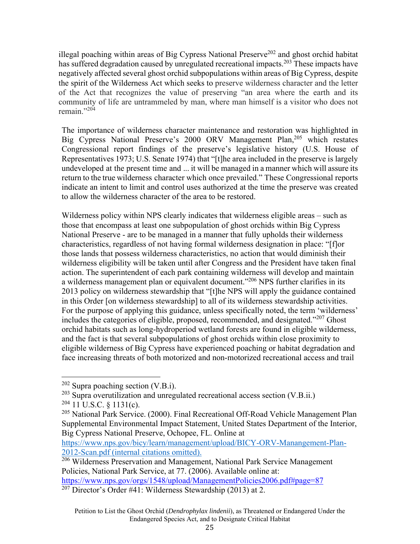illegal poaching within areas of Big Cypress National Preserve<sup>202</sup> and ghost orchid habitat has suffered degradation caused by unregulated recreational impacts.<sup>203</sup> These impacts have negatively affected several ghost orchid subpopulations within areas of Big Cypress, despite the spirit of the Wilderness Act which seeks to preserve wilderness character and the letter of the Act that recognizes the value of preserving "an area where the earth and its community of life are untrammeled by man, where man himself is a visitor who does not remain."<sup>204</sup>

The importance of wilderness character maintenance and restoration was highlighted in Big Cypress National Preserve's 2000 ORV Management Plan,<sup>205</sup> which restates Congressional report findings of the preserve's legislative history (U.S. House of Representatives 1973; U.S. Senate 1974) that "[t]he area included in the preserve is largely undeveloped at the present time and ... it will be managed in a manner which will assure its return to the true wilderness character which once prevailed." These Congressional reports indicate an intent to limit and control uses authorized at the time the preserve was created to allow the wilderness character of the area to be restored.

Wilderness policy within NPS clearly indicates that wilderness eligible areas – such as those that encompass at least one subpopulation of ghost orchids within Big Cypress National Preserve - are to be managed in a manner that fully upholds their wilderness characteristics, regardless of not having formal wilderness designation in place: "[f]or those lands that possess wilderness characteristics, no action that would diminish their wilderness eligibility will be taken until after Congress and the President have taken final action. The superintendent of each park containing wilderness will develop and maintain a wilderness management plan or equivalent document."206 NPS further clarifies in its 2013 policy on wilderness stewardship that "[t]he NPS will apply the guidance contained in this Order [on wilderness stewardship] to all of its wilderness stewardship activities. For the purpose of applying this guidance, unless specifically noted, the term 'wilderness' includes the categories of eligible, proposed, recommended, and designated."<sup>207</sup> Ghost orchid habitats such as long-hydroperiod wetland forests are found in eligible wilderness, and the fact is that several subpopulations of ghost orchids within close proximity to eligible wilderness of Big Cypress have experienced poaching or habitat degradation and face increasing threats of both motorized and non-motorized recreational access and trail

2012 Betting of American Structure Control of The Wilderness Preservation and Management, National Park Service Management Policies, National Park Service, at 77. (2006). Available online at: https://www.nps.gov/orgs/1548/upload/ManagementPolicies2006.pdf#page=87

 $202$  Supra poaching section (V.B.i).

 $203$  Supra overutilization and unregulated recreational access section (V.B.ii.)

 $204$  11 U.S.C. § 1131(c).

<sup>&</sup>lt;sup>205</sup> National Park Service. (2000). Final Recreational Off-Road Vehicle Management Plan Supplemental Environmental Impact Statement, United States Department of the Interior, Big Cypress National Preserve, Ochopee, FL. Online at

https://www.nps.gov/bicy/learn/management/upload/BICY-ORV-Manangement-Plan-2012-Scan.pdf (internal citations omitted).

<sup>&</sup>lt;sup>207</sup> Director's Order #41: Wilderness Stewardship (2013) at 2.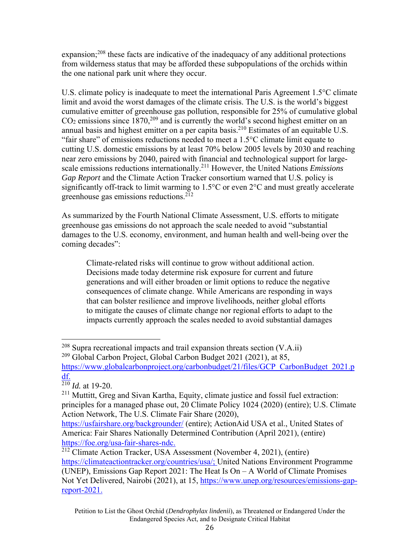expansion;<sup>208</sup> these facts are indicative of the inadequacy of any additional protections from wilderness status that may be afforded these subpopulations of the orchids within the one national park unit where they occur.

U.S. climate policy is inadequate to meet the international Paris Agreement 1.5°C climate limit and avoid the worst damages of the climate crisis. The U.S. is the world's biggest cumulative emitter of greenhouse gas pollution, responsible for 25% of cumulative global  $CO<sub>2</sub>$  emissions since 1870,<sup>209</sup> and is currently the world's second highest emitter on an annual basis and highest emitter on a per capita basis.<sup>210</sup> Estimates of an equitable U.S. "fair share" of emissions reductions needed to meet a  $1.5^{\circ}$ C climate limit equate to cutting U.S. domestic emissions by at least 70% below 2005 levels by 2030 and reaching near zero emissions by 2040, paired with financial and technological support for largescale emissions reductions internationally.211 However, the United Nations *Emissions Gap Report* and the Climate Action Tracker consortium warned that U.S. policy is significantly off-track to limit warming to 1.5°C or even 2°C and must greatly accelerate greenhouse gas emissions reductions.<sup>212</sup>

As summarized by the Fourth National Climate Assessment, U.S. efforts to mitigate greenhouse gas emissions do not approach the scale needed to avoid "substantial damages to the U.S. economy, environment, and human health and well-being over the coming decades":

Climate-related risks will continue to grow without additional action. Decisions made today determine risk exposure for current and future generations and will either broaden or limit options to reduce the negative consequences of climate change. While Americans are responding in ways that can bolster resilience and improve livelihoods, neither global efforts to mitigate the causes of climate change nor regional efforts to adapt to the impacts currently approach the scales needed to avoid substantial damages

 $^{208}$  Supra recreational impacts and trail expansion threats section (V.A.ii)  $^{209}$  Global Carbon Project, Global Carbon Budget 2021 (2021), at 85,

https://www.globalcarbonproject.org/carbonbudget/21/files/GCP\_CarbonBudget\_2021.p df.

 $\frac{210}{210}$  *Id.* at 19-20.

<sup>&</sup>lt;sup>211</sup> Muttitt, Greg and Sivan Kartha, Equity, climate justice and fossil fuel extraction: principles for a managed phase out, 20 Climate Policy 1024 (2020) (entire); U.S. Climate Action Network, The U.S. Climate Fair Share (2020),

https://usfairshare.org/backgrounder/ (entire); ActionAid USA et al., United States of America: Fair Shares Nationally Determined Contribution (April 2021), (entire) https://foe.org/usa-fair-shares-ndc.

<sup>&</sup>lt;sup>212</sup> Climate Action Tracker, USA Assessment (November 4, 2021), (entire) https://climateactiontracker.org/countries/usa/; United Nations Environment Programme (UNEP), Emissions Gap Report 2021: The Heat Is On – A World of Climate Promises Not Yet Delivered, Nairobi (2021), at 15, https://www.unep.org/resources/emissions-gapreport-2021.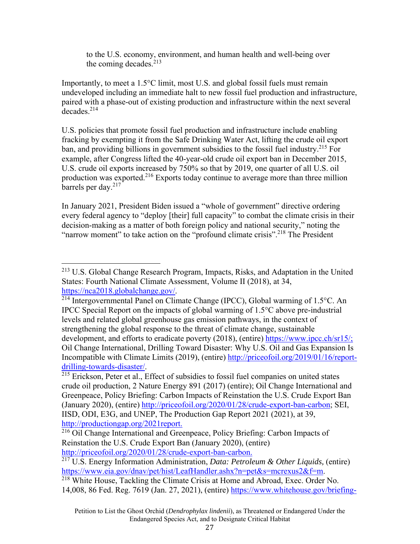to the U.S. economy, environment, and human health and well-being over the coming decades. $213$ 

Importantly, to meet a 1.5°C limit, most U.S. and global fossil fuels must remain undeveloped including an immediate halt to new fossil fuel production and infrastructure, paired with a phase-out of existing production and infrastructure within the next several decades<sup>214</sup>

U.S. policies that promote fossil fuel production and infrastructure include enabling fracking by exempting it from the Safe Drinking Water Act, lifting the crude oil export ban, and providing billions in government subsidies to the fossil fuel industry.<sup>215</sup> For example, after Congress lifted the 40-year-old crude oil export ban in December 2015, U.S. crude oil exports increased by 750% so that by 2019, one quarter of all U.S. oil production was exported.216 Exports today continue to average more than three million barrels per day.<sup>217</sup>

In January 2021, President Biden issued a "whole of government" directive ordering every federal agency to "deploy [their] full capacity" to combat the climate crisis in their decision-making as a matter of both foreign policy and national security," noting the "narrow moment" to take action on the "profound climate crisis".<sup>218</sup> The President

<sup>213</sup> U.S. Global Change Research Program, Impacts, Risks, and Adaptation in the United States: Fourth National Climate Assessment, Volume II (2018), at 34, https://nca2018.globalchange.gov/.<br><sup>214</sup> Intergovernmental Panel on Climate Change (IPCC), Global warming of 1.5°C. An

IPCC Special Report on the impacts of global warming of 1.5°C above pre-industrial levels and related global greenhouse gas emission pathways, in the context of strengthening the global response to the threat of climate change, sustainable development, and efforts to eradicate poverty (2018), (entire) https://www.ipcc.ch/sr15/; Oil Change International, Drilling Toward Disaster: Why U.S. Oil and Gas Expansion Is Incompatible with Climate Limits (2019), (entire) http://priceofoil.org/2019/01/16/reportdrilling-towards-disaster/.<br><sup>215</sup> Erickson, Peter et al., Effect of subsidies to fossil fuel companies on united states

crude oil production, 2 Nature Energy 891 (2017) (entire); Oil Change International and Greenpeace, Policy Briefing: Carbon Impacts of Reinstation the U.S. Crude Export Ban (January 2020), (entire) http://priceofoil.org/2020/01/28/crude-export-ban-carbon; SEI, IISD, ODI, E3G, and UNEP, The Production Gap Report 2021 (2021), at 39, http://productiongap.org/2021report.

<sup>216</sup> Oil Change International and Greenpeace, Policy Briefing: Carbon Impacts of Reinstation the U.S. Crude Export Ban (January 2020), (entire) http://priceofoil.org/2020/01/28/crude-export-ban-carbon.

<sup>217</sup> U.S. Energy Information Administration, *Data: Petroleum & Other Liquids,* (entire) https://www.eia.gov/dnav/pet/hist/LeafHandler.ashx?n=pet&s=mcrexus2&f=m.<br><sup>218</sup> White House, Tackling the Climate Crisis at Home and Abroad, Exec. Order No.

<sup>14,008, 86</sup> Fed. Reg. 7619 (Jan. 27, 2021), (entire) https://www.whitehouse.gov/briefing-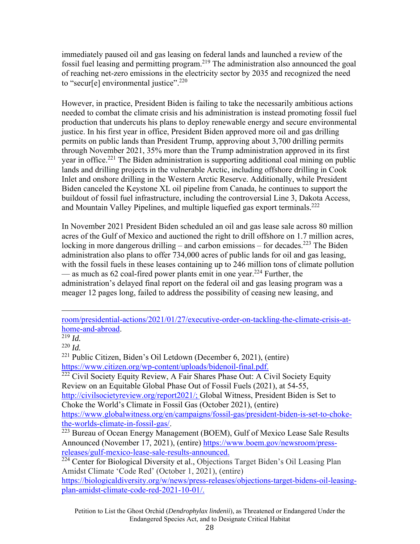immediately paused oil and gas leasing on federal lands and launched a review of the fossil fuel leasing and permitting program.219 The administration also announced the goal of reaching net-zero emissions in the electricity sector by 2035 and recognized the need to "secur[e] environmental justice".<sup>220</sup>

However, in practice, President Biden is failing to take the necessarily ambitious actions needed to combat the climate crisis and his administration is instead promoting fossil fuel production that undercuts his plans to deploy renewable energy and secure environmental justice. In his first year in office, President Biden approved more oil and gas drilling permits on public lands than President Trump, approving about 3,700 drilling permits through November 2021, 35% more than the Trump administration approved in its first year in office.<sup>221</sup> The Biden administration is supporting additional coal mining on public lands and drilling projects in the vulnerable Arctic, including offshore drilling in Cook Inlet and onshore drilling in the Western Arctic Reserve. Additionally, while President Biden canceled the Keystone XL oil pipeline from Canada, he continues to support the buildout of fossil fuel infrastructure, including the controversial Line 3, Dakota Access, and Mountain Valley Pipelines, and multiple liquefied gas export terminals.<sup>222</sup>

In November 2021 President Biden scheduled an oil and gas lease sale across 80 million acres of the Gulf of Mexico and auctioned the right to drill offshore on 1.7 million acres, locking in more dangerous drilling – and carbon emissions – for decades.<sup>223</sup> The Biden administration also plans to offer 734,000 acres of public lands for oil and gas leasing, with the fossil fuels in these leases containing up to 246 million tons of climate pollution — as much as 62 coal-fired power plants emit in one year.<sup>224</sup> Further, the administration's delayed final report on the federal oil and gas leasing program was a meager 12 pages long, failed to address the possibility of ceasing new leasing, and

 $222$  Civil Society Equity Review, A Fair Shares Phase Out: A Civil Society Equity Review on an Equitable Global Phase Out of Fossil Fuels (2021), at 54-55, http://civilsocietyreview.org/report2021/; Global Witness, President Biden is Set to Choke the World's Climate in Fossil Gas (October 2021), (entire) https://www.globalwitness.org/en/campaigns/fossil-gas/president-biden-is-set-to-chokethe-worlds-climate-in-fossil-gas/.<br><sup>223</sup> Bureau of Ocean Energy Management (BOEM), Gulf of Mexico Lease Sale Results

room/presidential-actions/2021/01/27/executive-order-on-tackling-the-climate-crisis-athome-and-abroad. 219 *Id.* 

<sup>220</sup> *Id.* 

 $^{221}$  Public Citizen, Biden's Oil Letdown (December 6, 2021), (entire) https://www.citizen.org/wp-content/uploads/bidenoil-final.pdf.

Announced (November 17, 2021), (entire) https://www.boem.gov/newsroom/pressreleases/gulf-mexico-lease-sale-results-announced.

<sup>&</sup>lt;sup>224</sup> Center for Biological Diversity et al., Objections Target Biden's Oil Leasing Plan Amidst Climate 'Code Red' (October 1, 2021), (entire)

https://biologicaldiversity.org/w/news/press-releases/objections-target-bidens-oil-leasingplan-amidst-climate-code-red-2021-10-01/.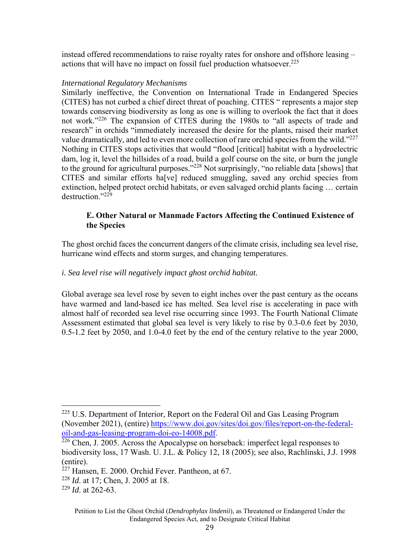instead offered recommendations to raise royalty rates for onshore and offshore leasing – actions that will have no impact on fossil fuel production whatsoever. $225$ 

### *International Regulatory Mechanisms*

Similarly ineffective, the Convention on International Trade in Endangered Species (CITES) has not curbed a chief direct threat of poaching. CITES " represents a major step towards conserving biodiversity as long as one is willing to overlook the fact that it does not work."<sup>226</sup> The expansion of CITES during the 1980s to "all aspects of trade and research" in orchids "immediately increased the desire for the plants, raised their market value dramatically, and led to even more collection of rare orchid species from the wild." $227$ Nothing in CITES stops activities that would "flood [critical] habitat with a hydroelectric dam, log it, level the hillsides of a road, build a golf course on the site, or burn the jungle to the ground for agricultural purposes."<sup>228</sup> Not surprisingly, "no reliable data [shows] that CITES and similar efforts ha[ve] reduced smuggling, saved any orchid species from extinction, helped protect orchid habitats, or even salvaged orchid plants facing … certain destruction."<sup>229</sup>

## **E. Other Natural or Manmade Factors Affecting the Continued Existence of the Species**

The ghost orchid faces the concurrent dangers of the climate crisis, including sea level rise, hurricane wind effects and storm surges, and changing temperatures.

# *i. Sea level rise will negatively impact ghost orchid habitat.*

Global average sea level rose by seven to eight inches over the past century as the oceans have warmed and land-based ice has melted. Sea level rise is accelerating in pace with almost half of recorded sea level rise occurring since 1993. The Fourth National Climate Assessment estimated that global sea level is very likely to rise by 0.3-0.6 feet by 2030, 0.5-1.2 feet by 2050, and 1.0-4.0 feet by the end of the century relative to the year 2000,

<sup>228</sup> *Id*. at 17; Chen, J. 2005 at 18.

<sup>&</sup>lt;sup>225</sup> U.S. Department of Interior, Report on the Federal Oil and Gas Leasing Program (November 2021), (entire) https://www.doi.gov/sites/doi.gov/files/report-on-the-federaloil-and-gas-leasing-program-doi-eo-14008.pdf. 226 Chen, J. 2005. Across the Apocalypse on horseback: imperfect legal responses to

biodiversity loss, 17 Wash. U. J.L. & Policy 12, 18 (2005); see also, Rachlinski, J.J. 1998 (entire).

 $227$  Hansen, E. 2000. Orchid Fever. Pantheon, at 67.

<sup>229</sup> *Id*. at 262-63.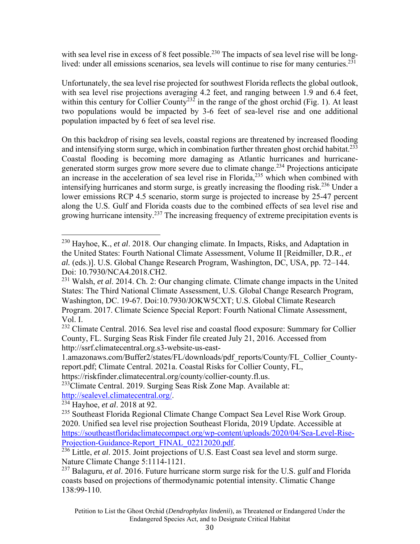with sea level rise in excess of 8 feet possible.<sup>230</sup> The impacts of sea level rise will be longlived: under all emissions scenarios, sea levels will continue to rise for many centuries.<sup>231</sup>

Unfortunately, the sea level rise projected for southwest Florida reflects the global outlook, with sea level rise projections averaging 4.2 feet, and ranging between 1.9 and 6.4 feet, within this century for Collier County<sup>232</sup> in the range of the ghost orchid (Fig. 1). At least two populations would be impacted by 3-6 feet of sea-level rise and one additional population impacted by 6 feet of sea level rise.

On this backdrop of rising sea levels, coastal regions are threatened by increased flooding and intensifying storm surge, which in combination further threaten ghost orchid habitat.<sup>233</sup> Coastal flooding is becoming more damaging as Atlantic hurricanes and hurricanegenerated storm surges grow more severe due to climate change.<sup>234</sup> Projections anticipate an increase in the acceleration of sea level rise in Florida,<sup>235</sup> which when combined with intensifying hurricanes and storm surge, is greatly increasing the flooding risk.<sup>236</sup> Under a lower emissions RCP 4.5 scenario, storm surge is projected to increase by 25-47 percent along the U.S. Gulf and Florida coasts due to the combined effects of sea level rise and growing hurricane intensity.237 The increasing frequency of extreme precipitation events is

https://riskfinder.climatecentral.org/county/collier-county.fl.us.

<sup>233</sup>Climate Central. 2019. Surging Seas Risk Zone Map. Available at: http://sealevel.climatecentral.org/. 234 Hayhoe, *et al*. 2018 at 92.

<sup>230</sup> Hayhoe, K., *et al*. 2018. Our changing climate. In Impacts, Risks, and Adaptation in the United States: Fourth National Climate Assessment, Volume II [Reidmiller, D.R., *et al.* (eds.)]. U.S. Global Change Research Program, Washington, DC, USA, pp. 72–144. Doi: 10.7930/NCA4.2018.CH2.

<sup>231</sup> Walsh, *et al*. 2014. Ch. 2: Our changing climate*.* Climate change impacts in the United States: The Third National Climate Assessment, U.S. Global Change Research Program, Washington, DC. 19-67. Doi:10.7930/JOKW5CXT; U.S. Global Climate Research Program. 2017. Climate Science Special Report: Fourth National Climate Assessment, Vol. I.

<sup>&</sup>lt;sup>232</sup> Climate Central. 2016. Sea level rise and coastal flood exposure: Summary for Collier County, FL. Surging Seas Risk Finder file created July 21, 2016. Accessed from http://ssrf.climatecentral.org.s3-website-us-east-

<sup>1.</sup>amazonaws.com/Buffer2/states/FL/downloads/pdf\_reports/County/FL\_Collier\_Countyreport.pdf; Climate Central. 2021a. Coastal Risks for Collier County, FL,

<sup>&</sup>lt;sup>235</sup> Southeast Florida Regional Climate Change Compact Sea Level Rise Work Group. 2020. Unified sea level rise projection Southeast Florida, 2019 Update. Accessible at https://southeastfloridaclimatecompact.org/wp-content/uploads/2020/04/Sea-Level-Rise-

<sup>&</sup>lt;sup>236</sup> Little, *et al.* 2015. Joint projections of U.S. East Coast sea level and storm surge. Nature Climate Change 5:1114-1121.

<sup>237</sup> Balaguru, *et al*. 2016. Future hurricane storm surge risk for the U.S. gulf and Florida coasts based on projections of thermodynamic potential intensity. Climatic Change 138:99-110.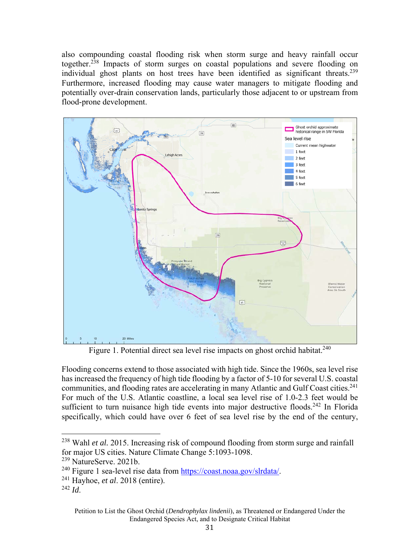also compounding coastal flooding risk when storm surge and heavy rainfall occur together.238 Impacts of storm surges on coastal populations and severe flooding on individual ghost plants on host trees have been identified as significant threats.<sup>239</sup> Furthermore, increased flooding may cause water managers to mitigate flooding and potentially over-drain conservation lands, particularly those adjacent to or upstream from flood-prone development.



Figure 1. Potential direct sea level rise impacts on ghost orchid habitat.<sup>240</sup>

Flooding concerns extend to those associated with high tide. Since the 1960s, sea level rise has increased the frequency of high tide flooding by a factor of 5-10 for several U.S. coastal communities, and flooding rates are accelerating in many Atlantic and Gulf Coast cities.<sup>241</sup> For much of the U.S. Atlantic coastline, a local sea level rise of 1.0-2.3 feet would be sufficient to turn nuisance high tide events into major destructive floods.<sup>242</sup> In Florida specifically, which could have over 6 feet of sea level rise by the end of the century,

<sup>238</sup> Wahl *et al.* 2015. Increasing risk of compound flooding from storm surge and rainfall for major US cities. Nature Climate Change 5:1093-1098.

<sup>239</sup> NatureServe. 2021b.

<sup>&</sup>lt;sup>240</sup> Figure 1 sea-level rise data from https://coast.noaa.gov/slrdata/.<br><sup>241</sup> Hayhoe, *et al.* 2018 (entire).

 $^{242}$  *Id.*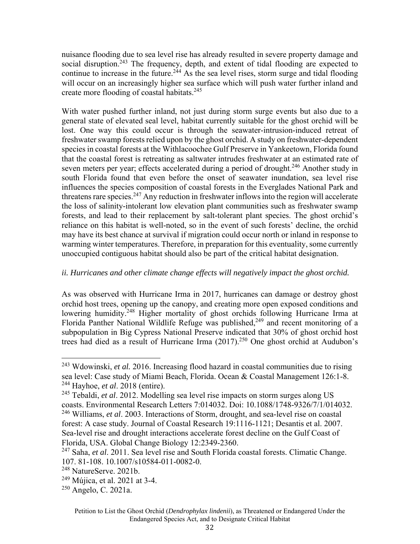nuisance flooding due to sea level rise has already resulted in severe property damage and social disruption.<sup>243</sup> The frequency, depth, and extent of tidal flooding are expected to continue to increase in the future.<sup>244</sup> As the sea level rises, storm surge and tidal flooding will occur on an increasingly higher sea surface which will push water further inland and create more flooding of coastal habitats.<sup>245</sup>

With water pushed further inland, not just during storm surge events but also due to a general state of elevated seal level, habitat currently suitable for the ghost orchid will be lost. One way this could occur is through the seawater-intrusion-induced retreat of freshwater swamp forests relied upon by the ghost orchid. A study on freshwater-dependent species in coastal forests at the Withlacoochee Gulf Preserve in Yankeetown, Florida found that the coastal forest is retreating as saltwater intrudes freshwater at an estimated rate of seven meters per year; effects accelerated during a period of drought.<sup>246</sup> Another study in south Florida found that even before the onset of seawater inundation, sea level rise influences the species composition of coastal forests in the Everglades National Park and threatens rare species.<sup>247</sup> Any reduction in freshwater inflows into the region will accelerate the loss of salinity-intolerant low elevation plant communities such as freshwater swamp forests, and lead to their replacement by salt-tolerant plant species. The ghost orchid's reliance on this habitat is well-noted, so in the event of such forests' decline, the orchid may have its best chance at survival if migration could occur north or inland in response to warming winter temperatures. Therefore, in preparation for this eventuality, some currently unoccupied contiguous habitat should also be part of the critical habitat designation.

### *ii. Hurricanes and other climate change effects will negatively impact the ghost orchid.*

As was observed with Hurricane Irma in 2017, hurricanes can damage or destroy ghost orchid host trees, opening up the canopy, and creating more open exposed conditions and lowering humidity.<sup>248</sup> Higher mortality of ghost orchids following Hurricane Irma at Florida Panther National Wildlife Refuge was published,<sup>249</sup> and recent monitoring of a subpopulation in Big Cypress National Preserve indicated that 30% of ghost orchid host trees had died as a result of Hurricane Irma (2017).250 One ghost orchid at Audubon's

<sup>243</sup> Wdowinski, *et al.* 2016. Increasing flood hazard in coastal communities due to rising sea level: Case study of Miami Beach, Florida. Ocean & Coastal Management 126:1-8. 244 Hayhoe, *et al*. 2018 (entire).

<sup>245</sup> Tebaldi, *et al*. 2012. Modelling sea level rise impacts on storm surges along US coasts. Environmental Research Letters 7:014032. Doi: 10.1088/1748-9326/7/1/014032.

<sup>246</sup> Williams, *et al*. 2003. Interactions of Storm, drought, and sea-level rise on coastal forest: A case study. Journal of Coastal Research 19:1116-1121; Desantis et al. 2007. Sea-level rise and drought interactions accelerate forest decline on the Gulf Coast of Florida, USA. Global Change Biology 12:2349-2360.

<sup>247</sup> Saha, *et al*. 2011. Sea level rise and South Florida coastal forests. Climatic Change. 107. 81-108. 10.1007/s10584-011-0082-0.

<sup>248</sup> NatureServe. 2021b.

 $249$  Mújica, et al. 2021 at 3-4.

<sup>250</sup> Angelo, C. 2021a.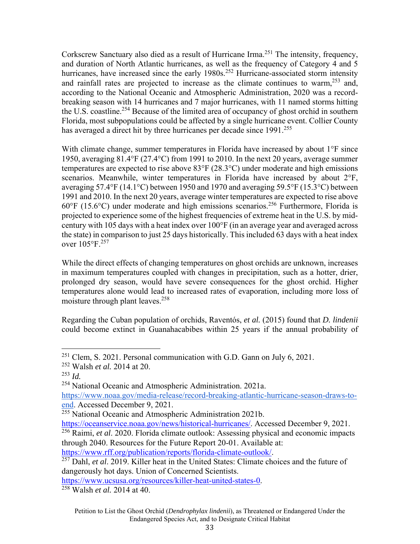Corkscrew Sanctuary also died as a result of Hurricane Irma.251 The intensity, frequency, and duration of North Atlantic hurricanes, as well as the frequency of Category 4 and 5 hurricanes, have increased since the early  $1980s$ <sup>252</sup> Hurricane-associated storm intensity and rainfall rates are projected to increase as the climate continues to warm,  $253$  and, according to the National Oceanic and Atmospheric Administration, 2020 was a recordbreaking season with 14 hurricanes and 7 major hurricanes, with 11 named storms hitting the U.S. coastline.<sup>254</sup> Because of the limited area of occupancy of ghost orchid in southern Florida, most subpopulations could be affected by a single hurricane event. Collier County has averaged a direct hit by three hurricanes per decade since  $1991$ <sup>255</sup>

With climate change, summer temperatures in Florida have increased by about 1<sup>o</sup>F since 1950, averaging 81.4°F (27.4°C) from 1991 to 2010. In the next 20 years, average summer temperatures are expected to rise above 83°F (28.3°C) under moderate and high emissions scenarios. Meanwhile, winter temperatures in Florida have increased by about 2°F, averaging 57.4°F (14.1°C) between 1950 and 1970 and averaging 59.5°F (15.3°C) between 1991 and 2010. In the next 20 years, average winter temperatures are expected to rise above  $60^{\circ}$ F (15.6 $^{\circ}$ C) under moderate and high emissions scenarios.<sup>256</sup> Furthermore, Florida is projected to experience some of the highest frequencies of extreme heat in the U.S. by midcentury with 105 days with a heat index over 100°F (in an average year and averaged across the state) in comparison to just 25 days historically. This included 63 days with a heat index over 105°F.<sup>257</sup>

While the direct effects of changing temperatures on ghost orchids are unknown, increases in maximum temperatures coupled with changes in precipitation, such as a hotter, drier, prolonged dry season, would have severe consequences for the ghost orchid. Higher temperatures alone would lead to increased rates of evaporation, including more loss of moisture through plant leaves.<sup>258</sup>

Regarding the Cuban population of orchids, Raventós, *et al.* (2015) found that *D. lindenii* could become extinct in Guanahacabibes within 25 years if the annual probability of

https://www.rff.org/publication/reports/florida-climate-outlook/. 257 Dahl, *et al*. 2019. Killer heat in the United States: Climate choices and the future of dangerously hot days. Union of Concerned Scientists.

https://www.ucsusa.org/resources/killer-heat-united-states-0. 258 Walsh *et al.* 2014 at 40.

<sup>251</sup> Clem, S. 2021. Personal communication with G.D. Gann on July 6, 2021.

<sup>252</sup> Walsh *et al.* 2014 at 20.

 $^{253}$  *Id.* 

<sup>254</sup> National Oceanic and Atmospheric Administration. 2021a.

https://www.noaa.gov/media-release/record-breaking-atlantic-hurricane-season-draws-toend. Accessed December 9, 2021.

 $255$  National Oceanic and Atmospheric Administration 2021b.

https://oceanservice.noaa.gov/news/historical-hurricanes/. Accessed December 9, 2021.

<sup>256</sup> Raimi, *et al*. 2020. Florida climate outlook: Assessing physical and economic impacts through 2040. Resources for the Future Report 20-01. Available at: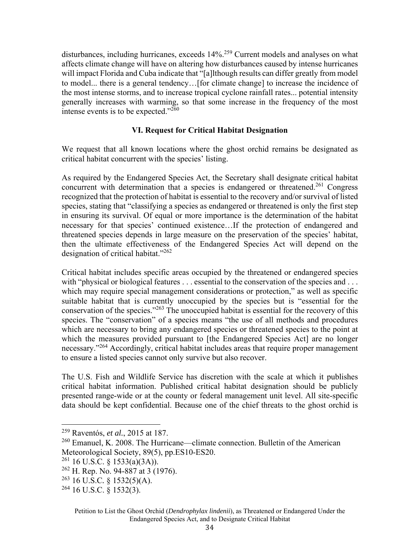disturbances, including hurricanes, exceeds 14%.259 Current models and analyses on what affects climate change will have on altering how disturbances caused by intense hurricanes will impact Florida and Cuba indicate that "[a]lthough results can differ greatly from model to model... there is a general tendency…[for climate change] to increase the incidence of the most intense storms, and to increase tropical cyclone rainfall rates... potential intensity generally increases with warming, so that some increase in the frequency of the most intense events is to be expected." $^{260}$ 

### **VI. Request for Critical Habitat Designation**

We request that all known locations where the ghost orchid remains be designated as critical habitat concurrent with the species' listing.

As required by the Endangered Species Act, the Secretary shall designate critical habitat concurrent with determination that a species is endangered or threatened.<sup>261</sup> Congress recognized that the protection of habitat is essential to the recovery and/or survival of listed species, stating that "classifying a species as endangered or threatened is only the first step in ensuring its survival. Of equal or more importance is the determination of the habitat necessary for that species' continued existence…If the protection of endangered and threatened species depends in large measure on the preservation of the species' habitat, then the ultimate effectiveness of the Endangered Species Act will depend on the designation of critical habitat."262

Critical habitat includes specific areas occupied by the threatened or endangered species with "physical or biological features . . . essential to the conservation of the species and . . . which may require special management considerations or protection," as well as specific suitable habitat that is currently unoccupied by the species but is "essential for the conservation of the species."263 The unoccupied habitat is essential for the recovery of this species. The "conservation" of a species means "the use of all methods and procedures which are necessary to bring any endangered species or threatened species to the point at which the measures provided pursuant to [the Endangered Species Act] are no longer necessary."264 Accordingly, critical habitat includes areas that require proper management to ensure a listed species cannot only survive but also recover.

The U.S. Fish and Wildlife Service has discretion with the scale at which it publishes critical habitat information. Published critical habitat designation should be publicly presented range-wide or at the county or federal management unit level. All site-specific data should be kept confidential. Because one of the chief threats to the ghost orchid is

<sup>259</sup> Raventós, *et al.*, 2015 at 187.

<sup>&</sup>lt;sup>260</sup> Emanuel, K. 2008. The Hurricane—climate connection. Bulletin of the American Meteorological Society, 89(5), pp.ES10-ES20.

 $261$  16 U.S.C. § 1533(a)(3A)).

<sup>&</sup>lt;sup>262</sup> H. Rep. No. 94-887 at 3 (1976).

<sup>263 16</sup> U.S.C*.* § 1532(5)(A).

 $264$  16 U.S.C. § 1532(3).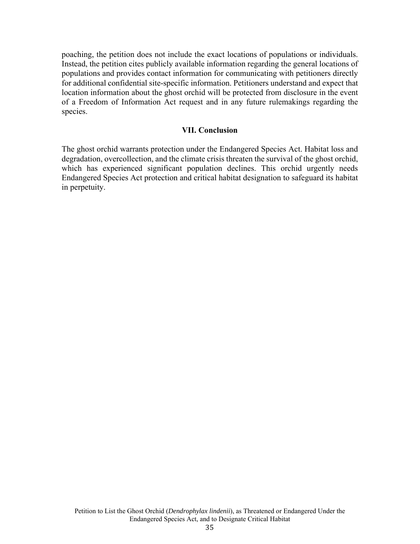poaching, the petition does not include the exact locations of populations or individuals. Instead, the petition cites publicly available information regarding the general locations of populations and provides contact information for communicating with petitioners directly for additional confidential site-specific information. Petitioners understand and expect that location information about the ghost orchid will be protected from disclosure in the event of a Freedom of Information Act request and in any future rulemakings regarding the species.

#### **VII. Conclusion**

The ghost orchid warrants protection under the Endangered Species Act. Habitat loss and degradation, overcollection, and the climate crisis threaten the survival of the ghost orchid, which has experienced significant population declines. This orchid urgently needs Endangered Species Act protection and critical habitat designation to safeguard its habitat in perpetuity.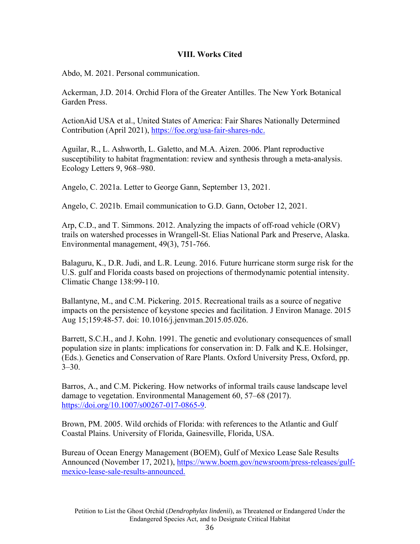## **VIII. Works Cited**

Abdo, M. 2021. Personal communication.

Ackerman, J.D. 2014. Orchid Flora of the Greater Antilles. The New York Botanical Garden Press.

ActionAid USA et al., United States of America: Fair Shares Nationally Determined Contribution (April 2021), https://foe.org/usa-fair-shares-ndc.

Aguilar, R., L. Ashworth, L. Galetto, and M.A. Aizen. 2006. Plant reproductive susceptibility to habitat fragmentation: review and synthesis through a meta-analysis. Ecology Letters 9, 968–980.

Angelo, C. 2021a. Letter to George Gann, September 13, 2021.

Angelo, C. 2021b. Email communication to G.D. Gann, October 12, 2021.

Arp, C.D., and T. Simmons. 2012. Analyzing the impacts of off-road vehicle (ORV) trails on watershed processes in Wrangell-St. Elias National Park and Preserve, Alaska. Environmental management, 49(3), 751-766.

Balaguru, K., D.R. Judi, and L.R. Leung. 2016. Future hurricane storm surge risk for the U.S. gulf and Florida coasts based on projections of thermodynamic potential intensity. Climatic Change 138:99-110.

Ballantyne, M., and C.M. Pickering. 2015. Recreational trails as a source of negative impacts on the persistence of keystone species and facilitation. J Environ Manage. 2015 Aug 15;159:48-57. doi: 10.1016/j.jenvman.2015.05.026.

Barrett, S.C.H., and J. Kohn. 1991. The genetic and evolutionary consequences of small population size in plants: implications for conservation in: D. Falk and K.E. Holsinger, (Eds.). Genetics and Conservation of Rare Plants. Oxford University Press, Oxford, pp.  $3 - 30.$ 

Barros, A., and C.M. Pickering. How networks of informal trails cause landscape level damage to vegetation. Environmental Management 60, 57–68 (2017). https://doi.org/10.1007/s00267-017-0865-9.

Brown, PM. 2005. Wild orchids of Florida: with references to the Atlantic and Gulf Coastal Plains. University of Florida, Gainesville, Florida, USA.

Bureau of Ocean Energy Management (BOEM), Gulf of Mexico Lease Sale Results Announced (November 17, 2021), https://www.boem.gov/newsroom/press-releases/gulfmexico-lease-sale-results-announced.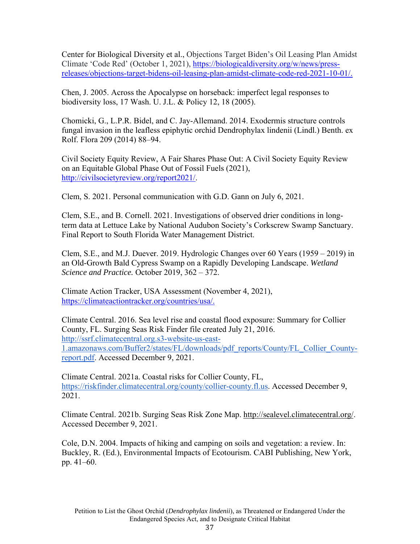Center for Biological Diversity et al., Objections Target Biden's Oil Leasing Plan Amidst Climate 'Code Red' (October 1, 2021), https://biologicaldiversity.org/w/news/pressreleases/objections-target-bidens-oil-leasing-plan-amidst-climate-code-red-2021-10-01/.

Chen, J. 2005. Across the Apocalypse on horseback: imperfect legal responses to biodiversity loss, 17 Wash. U. J.L. & Policy 12, 18 (2005).

Chomicki, G., L.P.R. Bidel, and C. Jay-Allemand. 2014. Exodermis structure controls fungal invasion in the leafless epiphytic orchid Dendrophylax lindenii (Lindl.) Benth. ex Rolf. Flora 209 (2014) 88–94.

Civil Society Equity Review, A Fair Shares Phase Out: A Civil Society Equity Review on an Equitable Global Phase Out of Fossil Fuels (2021), http://civilsocietyreview.org/report2021/.

Clem, S. 2021. Personal communication with G.D. Gann on July 6, 2021.

Clem, S.E., and B. Cornell. 2021. Investigations of observed drier conditions in longterm data at Lettuce Lake by National Audubon Society's Corkscrew Swamp Sanctuary. Final Report to South Florida Water Management District.

Clem, S.E., and M.J. Duever. 2019. Hydrologic Changes over 60 Years (1959 – 2019) in an Old-Growth Bald Cypress Swamp on a Rapidly Developing Landscape. *Wetland Science and Practice.* October 2019, 362 – 372.

Climate Action Tracker, USA Assessment (November 4, 2021), https://climateactiontracker.org/countries/usa/.

Climate Central. 2016. Sea level rise and coastal flood exposure: Summary for Collier County, FL. Surging Seas Risk Finder file created July 21, 2016. http://ssrf.climatecentral.org.s3-website-us-east-1.amazonaws.com/Buffer2/states/FL/downloads/pdf\_reports/County/FL\_Collier\_Countyreport.pdf. Accessed December 9, 2021.

Climate Central. 2021a. Coastal risks for Collier County, FL, https://riskfinder.climatecentral.org/county/collier-county.fl.us. Accessed December 9, 2021.

Climate Central. 2021b. Surging Seas Risk Zone Map. http://sealevel.climatecentral.org/. Accessed December 9, 2021.

Cole, D.N. 2004. Impacts of hiking and camping on soils and vegetation: a review. In: Buckley, R. (Ed.), Environmental Impacts of Ecotourism. CABI Publishing, New York, pp. 41–60.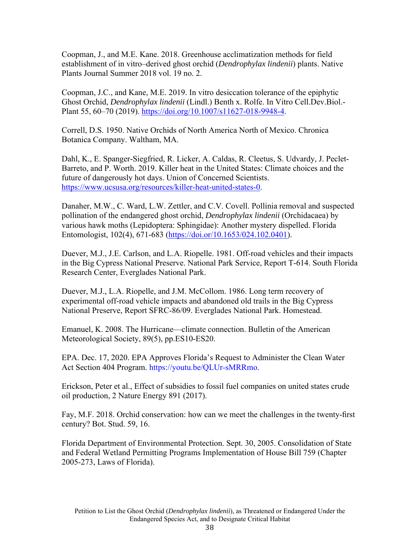Coopman, J., and M.E. Kane. 2018. Greenhouse acclimatization methods for field establishment of in vitro–derived ghost orchid (*Dendrophylax lindenii*) plants. Native Plants Journal Summer 2018 vol. 19 no. 2.

Coopman, J.C., and Kane, M.E. 2019. In vitro desiccation tolerance of the epiphytic Ghost Orchid, *Dendrophylax lindenii* (Lindl.) Benth x. Rolfe. In Vitro Cell.Dev.Biol.- Plant 55, 60–70 (2019). https://doi.org/10.1007/s11627-018-9948-4.

Correll, D.S. 1950. Native Orchids of North America North of Mexico. Chronica Botanica Company. Waltham, MA.

Dahl, K., E. Spanger-Siegfried, R. Licker, A. Caldas, R. Cleetus, S. Udvardy, J. Peclet-Barreto, and P. Worth. 2019. Killer heat in the United States: Climate choices and the future of dangerously hot days. Union of Concerned Scientists. https://www.ucsusa.org/resources/killer-heat-united-states-0.

Danaher, M.W., C. Ward, L.W. Zettler, and C.V. Covell. Pollinia removal and suspected pollination of the endangered ghost orchid, *Dendrophylax lindenii* (Orchidacaea) by various hawk moths (Lepidoptera: Sphingidae): Another mystery dispelled. Florida Entomologist, 102(4), 671-683 (https://doi.or/10.1653/024.102.0401).

Duever, M.J., J.E. Carlson, and L.A. Riopelle. 1981. Off-road vehicles and their impacts in the Big Cypress National Preserve. National Park Service, Report T-614. South Florida Research Center, Everglades National Park.

Duever, M.J., L.A. Riopelle, and J.M. McCollom. 1986. Long term recovery of experimental off-road vehicle impacts and abandoned old trails in the Big Cypress National Preserve, Report SFRC-86/09. Everglades National Park. Homestead.

Emanuel, K. 2008. The Hurricane—climate connection. Bulletin of the American Meteorological Society, 89(5), pp.ES10-ES20.

EPA. Dec. 17, 2020. EPA Approves Florida's Request to Administer the Clean Water Act Section 404 Program. https://youtu.be/QLUr-sMRRmo.

Erickson, Peter et al., Effect of subsidies to fossil fuel companies on united states crude oil production, 2 Nature Energy 891 (2017).

Fay, M.F. 2018. Orchid conservation: how can we meet the challenges in the twenty-first century? Bot. Stud. 59, 16.

Florida Department of Environmental Protection. Sept. 30, 2005. Consolidation of State and Federal Wetland Permitting Programs Implementation of House Bill 759 (Chapter 2005-273, Laws of Florida).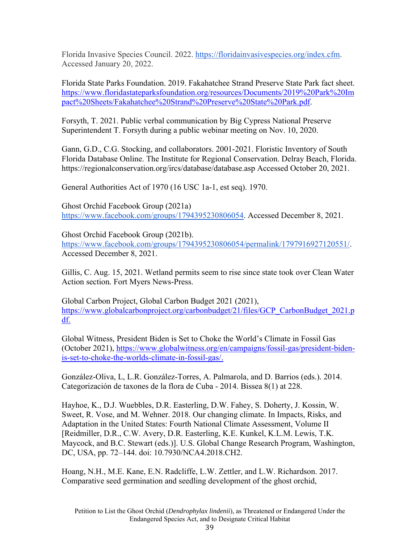Florida Invasive Species Council. 2022. https://floridainvasivespecies.org/index.cfm. Accessed January 20, 2022.

Florida State Parks Foundation. 2019. Fakahatchee Strand Preserve State Park fact sheet. https://www.floridastateparksfoundation.org/resources/Documents/2019%20Park%20Im pact%20Sheets/Fakahatchee%20Strand%20Preserve%20State%20Park.pdf.

Forsyth, T. 2021. Public verbal communication by Big Cypress National Preserve Superintendent T. Forsyth during a public webinar meeting on Nov. 10, 2020.

Gann, G.D., C.G. Stocking, and collaborators. 2001-2021. Floristic Inventory of South Florida Database Online. The Institute for Regional Conservation. Delray Beach, Florida. https://regionalconservation.org/ircs/database/database.asp Accessed October 20, 2021.

General Authorities Act of 1970 (16 USC 1a-1, est seq). 1970.

Ghost Orchid Facebook Group (2021a) https://www.facebook.com/groups/1794395230806054. Accessed December 8, 2021.

Ghost Orchid Facebook Group (2021b). https://www.facebook.com/groups/1794395230806054/permalink/1797916927120551/. Accessed December 8, 2021.

Gillis, C. Aug. 15, 2021. Wetland permits seem to rise since state took over Clean Water Action section*.* Fort Myers News-Press.

Global Carbon Project, Global Carbon Budget 2021 (2021), https://www.globalcarbonproject.org/carbonbudget/21/files/GCP\_CarbonBudget\_2021.p df.

Global Witness, President Biden is Set to Choke the World's Climate in Fossil Gas (October 2021), https://www.globalwitness.org/en/campaigns/fossil-gas/president-bidenis-set-to-choke-the-worlds-climate-in-fossil-gas/.

González-Oliva, L, L.R. González-Torres, A. Palmarola, and D. Barrios (eds.)*.* 2014. Categorización de taxones de la flora de Cuba - 2014. Bissea 8(1) at 228.

Hayhoe, K., D.J. Wuebbles, D.R. Easterling, D.W. Fahey, S. Doherty, J. Kossin, W. Sweet, R. Vose, and M. Wehner. 2018. Our changing climate. In Impacts, Risks, and Adaptation in the United States: Fourth National Climate Assessment, Volume II [Reidmiller, D.R., C.W. Avery, D.R. Easterling, K.E. Kunkel, K.L.M. Lewis, T.K. Maycock, and B.C. Stewart (eds.)]. U.S. Global Change Research Program, Washington, DC, USA, pp. 72–144. doi: 10.7930/NCA4.2018.CH2.

Hoang, N.H., M.E. Kane, E.N. Radcliffe, L.W. Zettler, and L.W. Richardson. 2017. Comparative seed germination and seedling development of the ghost orchid,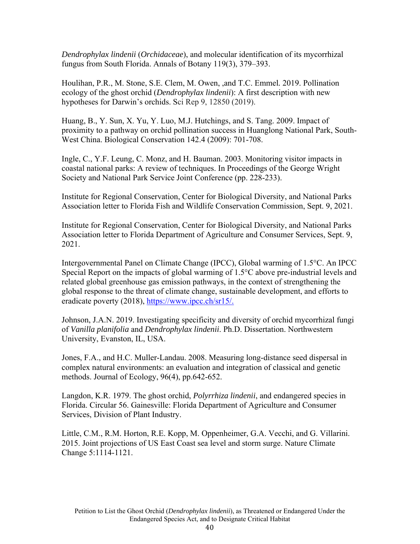*Dendrophylax lindenii* (*Orchidaceae*), and molecular identification of its mycorrhizal fungus from South Florida. Annals of Botany 119(3), 379–393.

Houlihan, P.R., M. Stone, S.E. Clem, M. Owen, ,and T.C. Emmel*.* 2019. Pollination ecology of the ghost orchid (*Dendrophylax lindenii*): A first description with new hypotheses for Darwin's orchids. Sci Rep 9, 12850 (2019).

Huang, B., Y. Sun, X. Yu, Y. Luo, M.J. Hutchings, and S. Tang. 2009. Impact of proximity to a pathway on orchid pollination success in Huanglong National Park, South-West China. Biological Conservation 142.4 (2009): 701-708.

Ingle, C., Y.F. Leung, C. Monz, and H. Bauman. 2003. Monitoring visitor impacts in coastal national parks: A review of techniques. In Proceedings of the George Wright Society and National Park Service Joint Conference (pp. 228-233).

Institute for Regional Conservation, Center for Biological Diversity, and National Parks Association letter to Florida Fish and Wildlife Conservation Commission, Sept. 9, 2021.

Institute for Regional Conservation, Center for Biological Diversity, and National Parks Association letter to Florida Department of Agriculture and Consumer Services, Sept. 9, 2021.

Intergovernmental Panel on Climate Change (IPCC), Global warming of 1.5°C. An IPCC Special Report on the impacts of global warming of 1.5°C above pre-industrial levels and related global greenhouse gas emission pathways, in the context of strengthening the global response to the threat of climate change, sustainable development, and efforts to eradicate poverty (2018), https://www.ipcc.ch/sr15/.

Johnson, J.A.N. 2019. Investigating specificity and diversity of orchid mycorrhizal fungi of *Vanilla planifolia* and *Dendrophylax lindenii*. Ph.D. Dissertation. Northwestern University, Evanston, IL, USA.

Jones, F.A., and H.C. Muller‐Landau. 2008. Measuring long‐distance seed dispersal in complex natural environments: an evaluation and integration of classical and genetic methods. Journal of Ecology, 96(4), pp.642-652.

Langdon, K.R. 1979. The ghost orchid, *Polyrrhiza lindenii*, and endangered species in Florida. Circular 56. Gainesville: Florida Department of Agriculture and Consumer Services, Division of Plant Industry.

Little, C.M., R.M. Horton, R.E. Kopp, M. Oppenheimer, G.A. Vecchi, and G. Villarini. 2015. Joint projections of US East Coast sea level and storm surge. Nature Climate Change 5:1114-1121.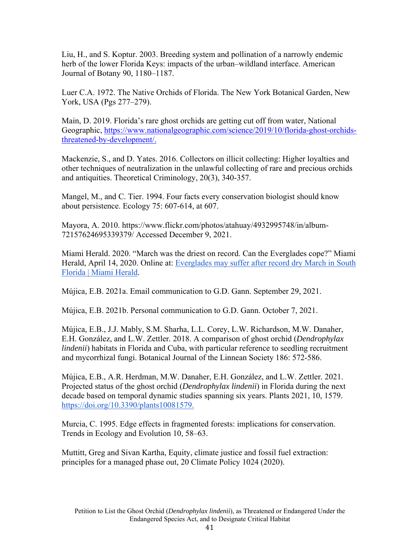Liu, H., and S. Koptur. 2003. Breeding system and pollination of a narrowly endemic herb of the lower Florida Keys: impacts of the urban–wildland interface. American Journal of Botany 90, 1180–1187.

Luer C.A. 1972. The Native Orchids of Florida. The New York Botanical Garden, New York, USA (Pgs 277–279).

Main, D. 2019. Florida's rare ghost orchids are getting cut off from water, National Geographic, https://www.nationalgeographic.com/science/2019/10/florida-ghost-orchidsthreatened-by-development/.

Mackenzie, S., and D. Yates. 2016. Collectors on illicit collecting: Higher loyalties and other techniques of neutralization in the unlawful collecting of rare and precious orchids and antiquities. Theoretical Criminology, 20(3), 340-357.

Mangel, M., and C. Tier. 1994. Four facts every conservation biologist should know about persistence. Ecology 75: 607-614, at 607.

Mayora, A. 2010. https://www.flickr.com/photos/atahuay/4932995748/in/album-72157624695339379/ Accessed December 9, 2021.

Miami Herald. 2020. "March was the driest on record. Can the Everglades cope?" Miami Herald, April 14, 2020. Online at: Everglades may suffer after record dry March in South Florida | Miami Herald.

Mújica, E.B. 2021a. Email communication to G.D. Gann. September 29, 2021.

Mújica, E.B. 2021b. Personal communication to G.D. Gann. October 7, 2021.

Mújica, E.B., J.J. Mably, S.M. Sharha, L.L. Corey, L.W. Richardson, M.W. Danaher, E.H. González, and L.W. Zettler*.* 2018. A comparison of ghost orchid (*Dendrophylax lindenii*) habitats in Florida and Cuba, with particular reference to seedling recruitment and mycorrhizal fungi. Botanical Journal of the Linnean Society 186: 572-586.

Mújica, E.B., A.R. Herdman, M.W. Danaher, E.H. González, and L.W. Zettler*.* 2021. Projected status of the ghost orchid (*Dendrophylax lindenii*) in Florida during the next decade based on temporal dynamic studies spanning six years. Plants 2021, 10, 1579. https://doi.org/10.3390/plants10081579.

Murcia, C. 1995. Edge effects in fragmented forests: implications for conservation. Trends in Ecology and Evolution 10, 58–63.

Muttitt, Greg and Sivan Kartha, Equity, climate justice and fossil fuel extraction: principles for a managed phase out, 20 Climate Policy 1024 (2020).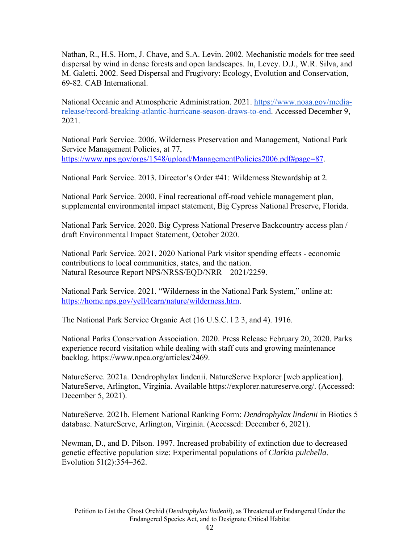Nathan, R., H.S. Horn, J. Chave, and S.A. Levin. 2002. Mechanistic models for tree seed dispersal by wind in dense forests and open landscapes. In, Levey. D.J., W.R. Silva, and M. Galetti. 2002. Seed Dispersal and Frugivory: Ecology, Evolution and Conservation, 69-82. CAB International.

National Oceanic and Atmospheric Administration. 2021. https://www.noaa.gov/mediarelease/record-breaking-atlantic-hurricane-season-draws-to-end. Accessed December 9, 2021.

National Park Service. 2006. Wilderness Preservation and Management, National Park Service Management Policies, at 77, https://www.nps.gov/orgs/1548/upload/ManagementPolicies2006.pdf#page=87.

National Park Service. 2013. Director's Order #41: Wilderness Stewardship at 2.

National Park Service. 2000. Final recreational off-road vehicle management plan, supplemental environmental impact statement, Big Cypress National Preserve, Florida.

National Park Service. 2020. Big Cypress National Preserve Backcountry access plan / draft Environmental Impact Statement, October 2020.

National Park Service. 2021. 2020 National Park visitor spending effects - economic contributions to local communities, states, and the nation. Natural Resource Report NPS/NRSS/EQD/NRR—2021/2259.

National Park Service. 2021. "Wilderness in the National Park System," online at: https://home.nps.gov/yell/learn/nature/wilderness.htm.

The National Park Service Organic Act (16 U.S.C. l 2 3, and 4). 1916.

National Parks Conservation Association. 2020. Press Release February 20, 2020. Parks experience record visitation while dealing with staff cuts and growing maintenance backlog. https://www.npca.org/articles/2469.

NatureServe. 2021a. Dendrophylax lindenii. NatureServe Explorer [web application]. NatureServe, Arlington, Virginia. Available https://explorer.natureserve.org/. (Accessed: December 5, 2021).

NatureServe. 2021b. Element National Ranking Form: *Dendrophylax lindenii* in Biotics 5 database. NatureServe, Arlington, Virginia. (Accessed: December 6, 2021).

Newman, D., and D. Pilson. 1997. Increased probability of extinction due to decreased genetic effective population size: Experimental populations of *Clarkia pulchella*. Evolution 51(2):354–362.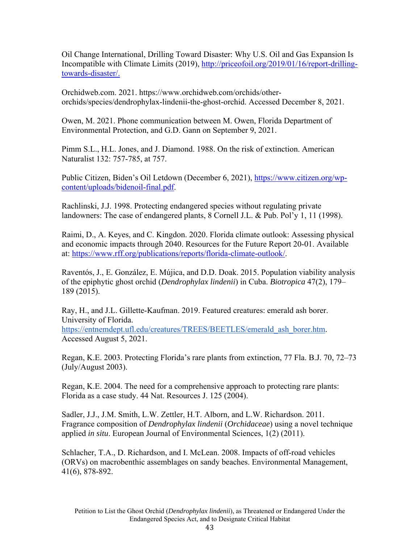Oil Change International, Drilling Toward Disaster: Why U.S. Oil and Gas Expansion Is Incompatible with Climate Limits (2019), http://priceofoil.org/2019/01/16/report-drillingtowards-disaster/.

Orchidweb.com. 2021. https://www.orchidweb.com/orchids/otherorchids/species/dendrophylax-lindenii-the-ghost-orchid. Accessed December 8, 2021.

Owen, M. 2021. Phone communication between M. Owen, Florida Department of Environmental Protection, and G.D. Gann on September 9, 2021.

Pimm S.L., H.L. Jones, and J. Diamond. 1988. On the risk of extinction. American Naturalist 132: 757-785, at 757.

Public Citizen, Biden's Oil Letdown (December 6, 2021), https://www.citizen.org/wpcontent/uploads/bidenoil-final.pdf.

Rachlinski, J.J. 1998. Protecting endangered species without regulating private landowners: The case of endangered plants, 8 Cornell J.L. & Pub. Pol'y 1, 11 (1998).

Raimi, D., A. Keyes, and C. Kingdon. 2020. Florida climate outlook: Assessing physical and economic impacts through 2040. Resources for the Future Report 20-01. Available at: https://www.rff.org/publications/reports/florida-climate-outlook/.

Raventós, J., E. González, E. Mújica, and D.D. Doak. 2015. Population viability analysis of the epiphytic ghost orchid (*Dendrophylax lindenii*) in Cuba. *Biotropica* 47(2), 179– 189 (2015).

Ray, H., and J.L. Gillette-Kaufman. 2019. Featured creatures: emerald ash borer. University of Florida. https://entnemdept.ufl.edu/creatures/TREES/BEETLES/emerald\_ash\_borer.htm. Accessed August 5, 2021.

Regan, K.E. 2003. Protecting Florida's rare plants from extinction, 77 Fla. B.J. 70, 72–73 (July/August 2003).

Regan, K.E. 2004. The need for a comprehensive approach to protecting rare plants: Florida as a case study. 44 Nat. Resources J. 125 (2004).

Sadler, J.J., J.M. Smith, L.W. Zettler, H.T. Alborn, and L.W. Richardson. 2011. Fragrance composition of *Dendrophylax lindenii* (*Orchidaceae*) using a novel technique applied *in situ*. European Journal of Environmental Sciences, 1(2) (2011).

Schlacher, T.A., D. Richardson, and I. McLean. 2008. Impacts of off-road vehicles (ORVs) on macrobenthic assemblages on sandy beaches. Environmental Management, 41(6), 878-892.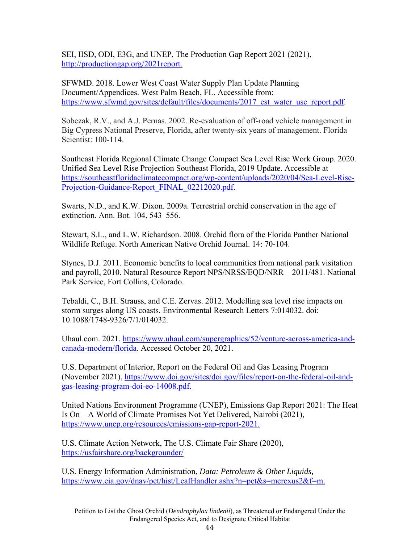SEI, IISD, ODI, E3G, and UNEP, The Production Gap Report 2021 (2021), http://productiongap.org/2021report.

SFWMD. 2018. Lower West Coast Water Supply Plan Update Planning Document/Appendices. West Palm Beach, FL. Accessible from: https://www.sfwmd.gov/sites/default/files/documents/2017 est\_water\_use\_report.pdf.

Sobczak, R.V., and A.J. Pernas. 2002. Re-evaluation of off-road vehicle management in Big Cypress National Preserve, Florida, after twenty-six years of management. Florida Scientist: 100-114.

Southeast Florida Regional Climate Change Compact Sea Level Rise Work Group. 2020. Unified Sea Level Rise Projection Southeast Florida, 2019 Update. Accessible at https://southeastfloridaclimatecompact.org/wp-content/uploads/2020/04/Sea-Level-Rise-Projection-Guidance-Report\_FINAL\_02212020.pdf.

Swarts, N.D., and K.W. Dixon. 2009a. Terrestrial orchid conservation in the age of extinction. Ann. Bot. 104, 543–556.

Stewart, S.L., and L.W. Richardson. 2008. Orchid flora of the Florida Panther National Wildlife Refuge. North American Native Orchid Journal. 14: 70-104.

Stynes, D.J. 2011. Economic benefits to local communities from national park visitation and payroll, 2010. Natural Resource Report NPS/NRSS/EQD/NRR—2011/481. National Park Service, Fort Collins, Colorado.

Tebaldi, C., B.H. Strauss, and C.E. Zervas. 2012. Modelling sea level rise impacts on storm surges along US coasts. Environmental Research Letters 7:014032. doi: 10.1088/1748-9326/7/1/014032.

Uhaul.com. 2021. https://www.uhaul.com/supergraphics/52/venture-across-america-andcanada-modern/florida. Accessed October 20, 2021.

U.S. Department of Interior, Report on the Federal Oil and Gas Leasing Program (November 2021), https://www.doi.gov/sites/doi.gov/files/report-on-the-federal-oil-andgas-leasing-program-doi-eo-14008.pdf.

United Nations Environment Programme (UNEP), Emissions Gap Report 2021: The Heat Is On – A World of Climate Promises Not Yet Delivered, Nairobi (2021), https://www.unep.org/resources/emissions-gap-report-2021.

U.S. Climate Action Network, The U.S. Climate Fair Share (2020), https://usfairshare.org/backgrounder/

U.S. Energy Information Administration, *Data: Petroleum & Other Liquids,*  https://www.eia.gov/dnav/pet/hist/LeafHandler.ashx?n=pet&s=mcrexus2&f=m.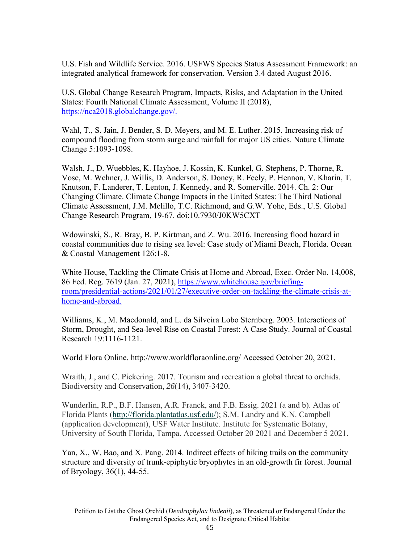U.S. Fish and Wildlife Service. 2016. USFWS Species Status Assessment Framework: an integrated analytical framework for conservation. Version 3.4 dated August 2016.

U.S. Global Change Research Program, Impacts, Risks, and Adaptation in the United States: Fourth National Climate Assessment, Volume II (2018), https://nca2018.globalchange.gov/.

Wahl, T., S. Jain, J. Bender, S. D. Meyers, and M. E. Luther. 2015. Increasing risk of compound flooding from storm surge and rainfall for major US cities. Nature Climate Change 5:1093-1098.

Walsh, J., D. Wuebbles, K. Hayhoe, J. Kossin, K. Kunkel, G. Stephens, P. Thorne, R. Vose, M. Wehner, J. Willis, D. Anderson, S. Doney, R. Feely, P. Hennon, V. Kharin, T. Knutson, F. Landerer, T. Lenton, J. Kennedy, and R. Somerville. 2014. Ch. 2: Our Changing Climate. Climate Change Impacts in the United States: The Third National Climate Assessment, J.M. Melillo, T.C. Richmond, and G.W. Yohe, Eds., U.S. Global Change Research Program, 19-67. doi:10.7930/J0KW5CXT

Wdowinski, S., R. Bray, B. P. Kirtman, and Z. Wu. 2016. Increasing flood hazard in coastal communities due to rising sea level: Case study of Miami Beach, Florida. Ocean & Coastal Management 126:1-8.

White House, Tackling the Climate Crisis at Home and Abroad, Exec. Order No. 14,008, 86 Fed. Reg. 7619 (Jan. 27, 2021), https://www.whitehouse.gov/briefingroom/presidential-actions/2021/01/27/executive-order-on-tackling-the-climate-crisis-athome-and-abroad.

Williams, K., M. Macdonald, and L. da Silveira Lobo Sternberg. 2003. Interactions of Storm, Drought, and Sea-level Rise on Coastal Forest: A Case Study. Journal of Coastal Research 19:1116-1121.

World Flora Online. http://www.worldfloraonline.org/ Accessed October 20, 2021.

Wraith, J., and C. Pickering. 2017. Tourism and recreation a global threat to orchids. Biodiversity and Conservation, *26*(14), 3407-3420.

Wunderlin, R.P., B.F. Hansen, A.R. Franck, and F.B. Essig. 2021 (a and b). Atlas of Florida Plants (http://florida.plantatlas.usf.edu/); S.M. Landry and K.N. Campbell (application development), USF Water Institute. Institute for Systematic Botany, University of South Florida, Tampa. Accessed October 20 2021 and December 5 2021.

Yan, X., W. Bao, and X. Pang. 2014. Indirect effects of hiking trails on the community structure and diversity of trunk-epiphytic bryophytes in an old-growth fir forest. Journal of Bryology, 36(1), 44-55.